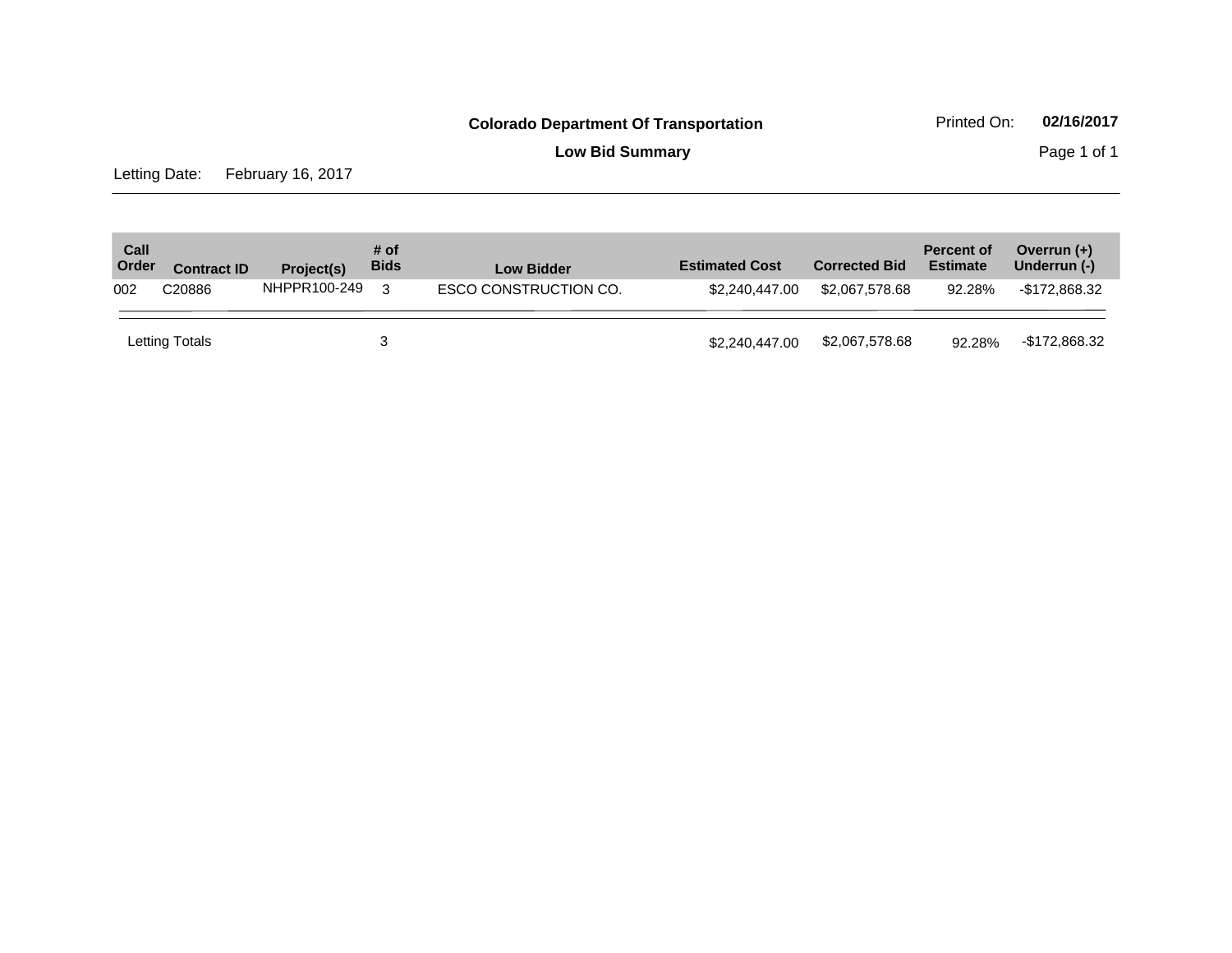**Low Bid Summary Page 1 of 1** 

Letting Date: February 16, 2017

| Call<br>Order | <b>Contract ID</b> | Project(s)   | # of<br><b>Bids</b> | <b>Low Bidder</b>     | <b>Estimated Cost</b> | <b>Corrected Bid</b> | <b>Percent of</b><br><b>Estimate</b> | Overrun $(+)$<br>Underrun (-) |
|---------------|--------------------|--------------|---------------------|-----------------------|-----------------------|----------------------|--------------------------------------|-------------------------------|
| 002           | C <sub>20886</sub> | NHPPR100-249 | 3                   | ESCO CONSTRUCTION CO. | \$2,240,447,00        | \$2.067.578.68       | 92.28%                               | -\$172.868.32                 |
|               | Letting Totals     |              |                     |                       | \$2,240,447,00        | \$2,067,578.68       | 92.28%                               | -\$172,868.32                 |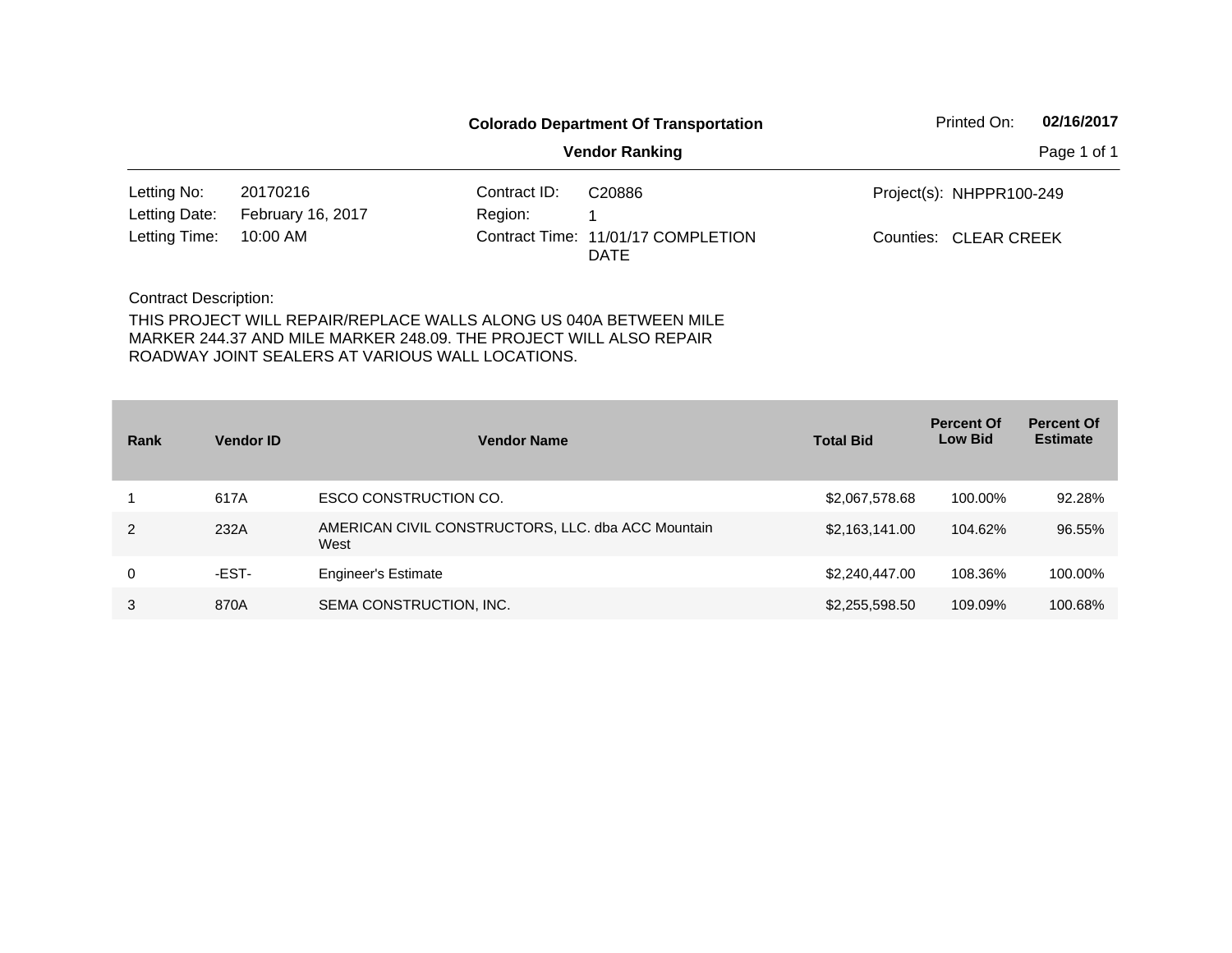|                              |                   | <b>Colorado Department Of Transportation</b> | Printed On:                                       | 02/16/2017               |             |
|------------------------------|-------------------|----------------------------------------------|---------------------------------------------------|--------------------------|-------------|
|                              |                   |                                              | <b>Vendor Ranking</b>                             |                          | Page 1 of 1 |
| Letting No:                  | 20170216          | Contract ID:                                 | C20886                                            | Project(s): NHPPR100-249 |             |
| Letting Date:                | February 16, 2017 | Region:                                      |                                                   |                          |             |
| Letting Time:                | 10:00 AM          |                                              | Contract Time: 11/01/17 COMPLETION<br><b>DATE</b> | Counties: CLEAR CREEK    |             |
| <b>Contract Description:</b> |                   |                                              |                                                   |                          |             |

| Rank | <b>Vendor ID</b> | <b>Vendor Name</b>                                         | <b>Total Bid</b> | <b>Percent Of</b><br><b>Low Bid</b> | <b>Percent Of</b><br><b>Estimate</b> |
|------|------------------|------------------------------------------------------------|------------------|-------------------------------------|--------------------------------------|
|      | 617A             | ESCO CONSTRUCTION CO.                                      | \$2,067,578.68   | 100.00%                             | 92.28%                               |
| 2    | 232A             | AMERICAN CIVIL CONSTRUCTORS, LLC. dba ACC Mountain<br>West | \$2,163,141.00   | 104.62%                             | 96.55%                               |
| 0    | -EST-            | <b>Engineer's Estimate</b>                                 | \$2,240,447.00   | 108.36%                             | 100.00%                              |
| 3    | 870A             | SEMA CONSTRUCTION, INC.                                    | \$2,255,598.50   | 109.09%                             | 100.68%                              |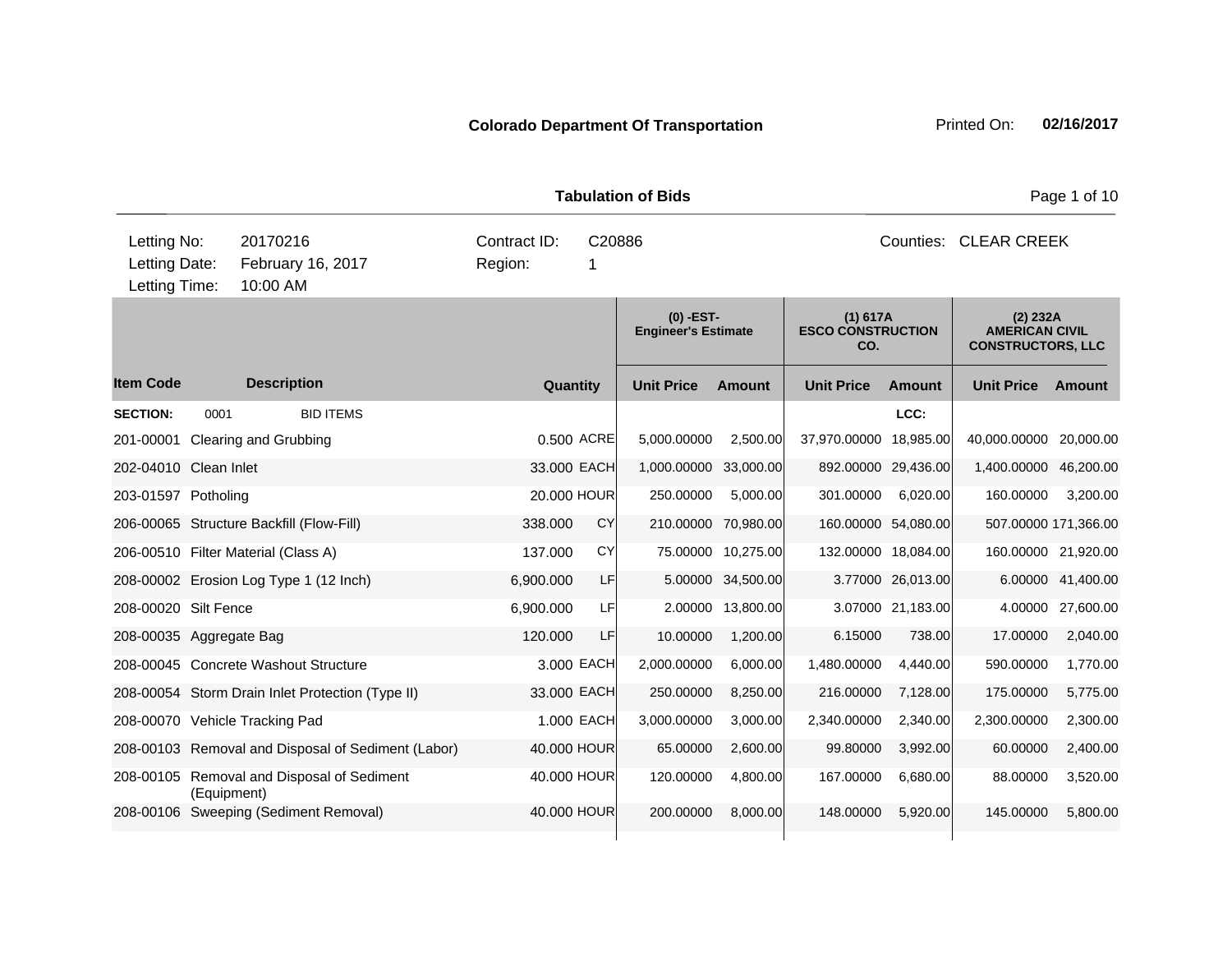|                                                                                            |             |                    |                                                    |  |                         |             | <b>Tabulation of Bids</b>  |             |                       | Page 1 of 10                                |                     |                                                               |           |  |
|--------------------------------------------------------------------------------------------|-------------|--------------------|----------------------------------------------------|--|-------------------------|-------------|----------------------------|-------------|-----------------------|---------------------------------------------|---------------------|---------------------------------------------------------------|-----------|--|
| Letting No:<br>20170216<br>Letting Date:<br>February 16, 2017<br>Letting Time:<br>10:00 AM |             |                    |                                                    |  | Contract ID:<br>Region: | 1           | C20886                     |             |                       | Counties: CLEAR CREEK                       |                     |                                                               |           |  |
|                                                                                            |             |                    |                                                    |  |                         |             | <b>Engineer's Estimate</b> | $(0)$ -EST- |                       | (1) 617A<br><b>ESCO CONSTRUCTION</b><br>CO. |                     | (2) 232A<br><b>AMERICAN CIVIL</b><br><b>CONSTRUCTORS, LLC</b> |           |  |
| <b>Item Code</b>                                                                           |             | <b>Description</b> |                                                    |  |                         | Quantity    | <b>Unit Price</b>          |             | <b>Amount</b>         | <b>Unit Price</b>                           | <b>Amount</b>       | <b>Unit Price</b>                                             | Amount    |  |
| <b>SECTION:</b>                                                                            | 0001        |                    | <b>BID ITEMS</b>                                   |  |                         |             |                            |             |                       |                                             | LCC:                |                                                               |           |  |
| 201-00001 Clearing and Grubbing                                                            |             |                    |                                                    |  |                         | 0.500 ACRE  | 5,000.00000                |             | 2,500.00              | 37,970.00000 18,985.00                      |                     | 40,000.00000 20,000.00                                        |           |  |
| 202-04010 Clean Inlet                                                                      |             |                    |                                                    |  |                         | 33.000 EACH |                            |             | 1,000.00000 33,000.00 |                                             | 892.00000 29,436.00 | 1,400.00000                                                   | 46,200.00 |  |
| 203-01597 Potholing                                                                        |             |                    |                                                    |  |                         | 20.000 HOUR | 250.00000                  |             | 5,000.00              | 301.00000                                   | 6,020.00            | 160.00000                                                     | 3,200.00  |  |
| 206-00065 Structure Backfill (Flow-Fill)                                                   |             |                    |                                                    |  | 338.000                 | <b>CY</b>   |                            |             | 210.00000 70,980.00   |                                             | 160.00000 54,080.00 | 507.00000 171,366.00                                          |           |  |
| 206-00510 Filter Material (Class A)                                                        |             |                    |                                                    |  | 137.000                 | <b>CY</b>   |                            |             | 75.00000 10,275.00    |                                             | 132.00000 18,084.00 | 160.00000 21,920.00                                           |           |  |
|                                                                                            |             |                    | 208-00002 Erosion Log Type 1 (12 Inch)             |  | 6,900.000               | LF          |                            |             | 5.00000 34,500.00     |                                             | 3.77000 26,013.00   | 6.00000                                                       | 41,400.00 |  |
| 208-00020 Silt Fence                                                                       |             |                    |                                                    |  | 6,900.000               | LFI         |                            |             | 2.00000 13,800.00     |                                             | 3.07000 21,183.00   | 4.00000                                                       | 27,600.00 |  |
| 208-00035 Aggregate Bag                                                                    |             |                    |                                                    |  | 120,000                 | LF          | 10.00000                   |             | 1,200.00              | 6.15000                                     | 738.00              | 17.00000                                                      | 2,040.00  |  |
| 208-00045 Concrete Washout Structure                                                       |             |                    |                                                    |  |                         | 3,000 EACH  | 2,000.00000                |             | 6,000.00              | 1,480.00000                                 | 4,440.00            | 590.00000                                                     | 1,770.00  |  |
|                                                                                            |             |                    | 208-00054 Storm Drain Inlet Protection (Type II)   |  |                         | 33.000 EACH | 250.00000                  |             | 8,250.00              | 216.00000                                   | 7,128.00            | 175.00000                                                     | 5,775.00  |  |
| 208-00070 Vehicle Tracking Pad                                                             |             |                    |                                                    |  |                         | 1.000 EACH  | 3,000.00000                |             | 3,000.00              | 2,340.00000                                 | 2,340.00            | 2,300.00000                                                   | 2,300.00  |  |
|                                                                                            |             |                    | 208-00103 Removal and Disposal of Sediment (Labor) |  |                         | 40,000 HOUR | 65.00000                   |             | 2,600.00              | 99.80000                                    | 3,992.00            | 60.00000                                                      | 2,400.00  |  |
|                                                                                            | (Equipment) |                    | 208-00105 Removal and Disposal of Sediment         |  |                         | 40.000 HOUR | 120.00000                  |             | 4,800.00              | 167.00000                                   | 6,680.00            | 88.00000                                                      | 3,520.00  |  |
|                                                                                            |             |                    | 208-00106 Sweeping (Sediment Removal)              |  |                         | 40.000 HOUR | 200.00000                  |             | 8,000.00              | 148.00000                                   | 5.920.00            | 145.00000                                                     | 5,800.00  |  |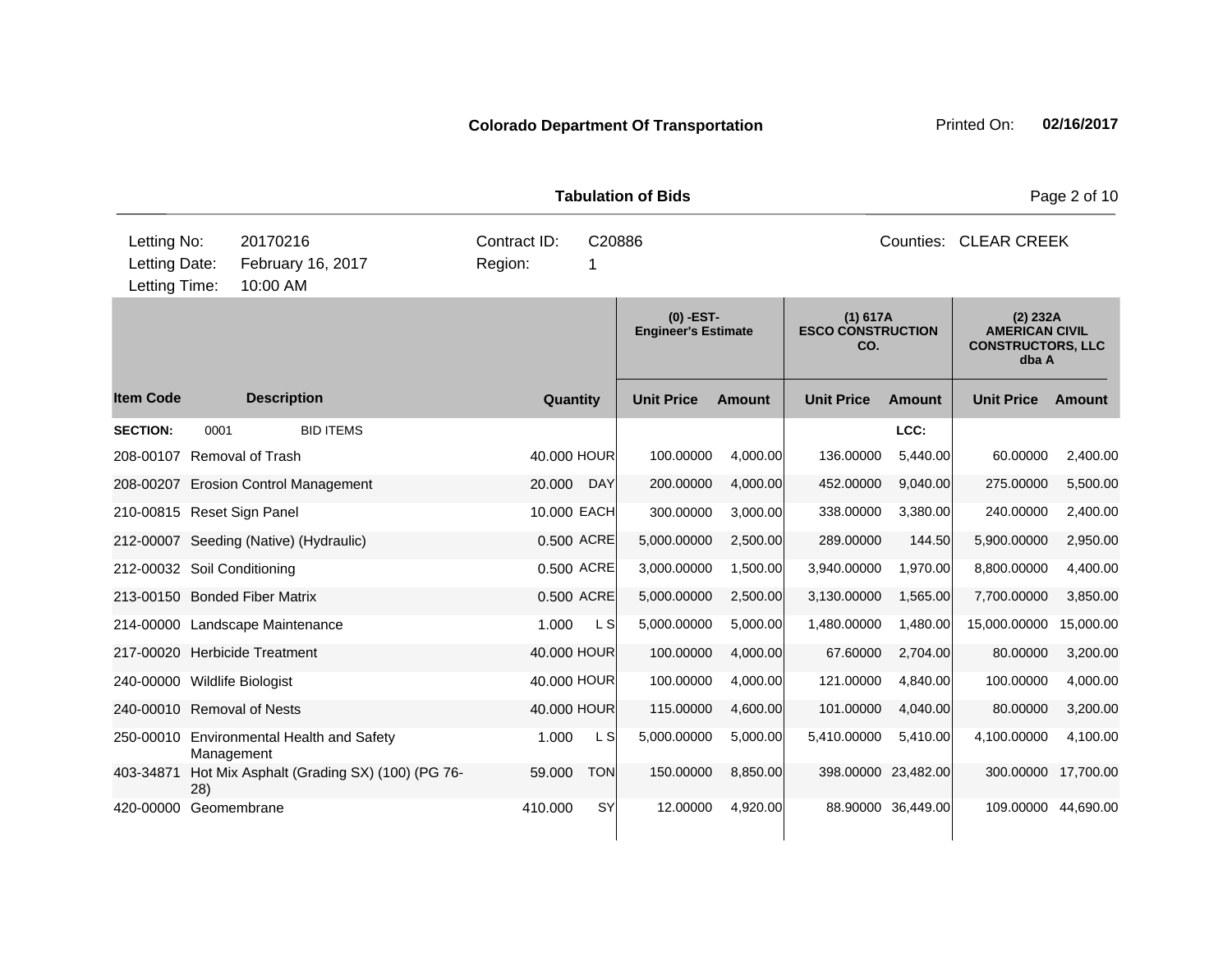| <b>Tabulation of Bids</b>                                                                  |            |                                            |  |                         |             |                                           |          |                                             | Page 2 of 10        |                                                                        |           |  |
|--------------------------------------------------------------------------------------------|------------|--------------------------------------------|--|-------------------------|-------------|-------------------------------------------|----------|---------------------------------------------|---------------------|------------------------------------------------------------------------|-----------|--|
| Letting No:<br>20170216<br>Letting Date:<br>February 16, 2017<br>Letting Time:<br>10:00 AM |            |                                            |  | Contract ID:<br>Region: | C20886<br>1 |                                           |          | Counties: CLEAR CREEK                       |                     |                                                                        |           |  |
|                                                                                            |            |                                            |  |                         |             | $(0)$ -EST-<br><b>Engineer's Estimate</b> |          | (1) 617A<br><b>ESCO CONSTRUCTION</b><br>CO. |                     | (2) 232A<br><b>AMERICAN CIVIL</b><br><b>CONSTRUCTORS, LLC</b><br>dba A |           |  |
| <b>Item Code</b>                                                                           |            | <b>Description</b>                         |  | Quantity                |             | <b>Unit Price</b>                         | Amount   | <b>Unit Price</b>                           | <b>Amount</b>       | <b>Unit Price</b>                                                      | Amount    |  |
| <b>SECTION:</b>                                                                            | 0001       | <b>BID ITEMS</b>                           |  |                         |             |                                           |          |                                             | LCC:                |                                                                        |           |  |
| 208-00107                                                                                  |            | <b>Removal of Trash</b>                    |  | 40.000 HOUR             |             | 100.00000                                 | 4,000.00 | 136.00000                                   | 5,440.00            | 60.00000                                                               | 2,400.00  |  |
|                                                                                            |            | 208-00207 Erosion Control Management       |  | 20.000                  | DAY         | 200.00000                                 | 4,000.00 | 452.00000                                   | 9,040.00            | 275.00000                                                              | 5,500.00  |  |
| 210-00815 Reset Sign Panel                                                                 |            |                                            |  | 10.000 EACH             |             | 300.00000                                 | 3,000.00 | 338.00000                                   | 3,380.00            | 240.00000                                                              | 2,400.00  |  |
|                                                                                            |            | 212-00007 Seeding (Native) (Hydraulic)     |  |                         | 0.500 ACRE  | 5,000.00000                               | 2,500.00 | 289.00000                                   | 144.50              | 5,900.00000                                                            | 2,950.00  |  |
| 212-00032 Soil Conditioning                                                                |            |                                            |  |                         | 0.500 ACRE  | 3,000.00000                               | 1,500.00 | 3,940.00000                                 | 1,970.00            | 8,800.00000                                                            | 4,400.00  |  |
|                                                                                            |            | 213-00150 Bonded Fiber Matrix              |  |                         | 0.500 ACRE  | 5,000.00000                               | 2,500.00 | 3,130.00000                                 | 1,565.00            | 7,700.00000                                                            | 3,850.00  |  |
|                                                                                            |            | 214-00000 Landscape Maintenance            |  | 1.000                   | L S         | 5,000.00000                               | 5,000.00 | 1,480.00000                                 | 1.480.00            | 15,000.00000                                                           | 15,000.00 |  |
|                                                                                            |            | 217-00020 Herbicide Treatment              |  | 40,000 HOUR             |             | 100.00000                                 | 4,000.00 | 67.60000                                    | 2,704.00            | 80.00000                                                               | 3,200.00  |  |
| 240-00000 Wildlife Biologist                                                               |            |                                            |  | 40.000 HOUR             |             | 100.00000                                 | 4,000.00 | 121.00000                                   | 4.840.00            | 100.00000                                                              | 4,000.00  |  |
| 240-00010 Removal of Nests                                                                 |            |                                            |  | 40.000 HOUR             |             | 115.00000                                 | 4,600.00 | 101.00000                                   | 4,040.00            | 80.00000                                                               | 3,200.00  |  |
| 250-00010                                                                                  | Management | <b>Environmental Health and Safety</b>     |  | 1.000                   | L SI        | 5,000.00000                               | 5,000.00 | 5,410.00000                                 | 5.410.00            | 4,100.00000                                                            | 4,100.00  |  |
| 403-34871                                                                                  | 28)        | Hot Mix Asphalt (Grading SX) (100) (PG 76- |  | 59.000                  | <b>TON</b>  | 150.00000                                 | 8,850.00 |                                             | 398.00000 23,482.00 | 300.00000                                                              | 17,700.00 |  |
| 420-00000                                                                                  |            | Geomembrane                                |  | 410.000                 | SY          | 12.00000                                  | 4,920.00 |                                             | 88.90000 36,449.00  | 109.00000 44,690.00                                                    |           |  |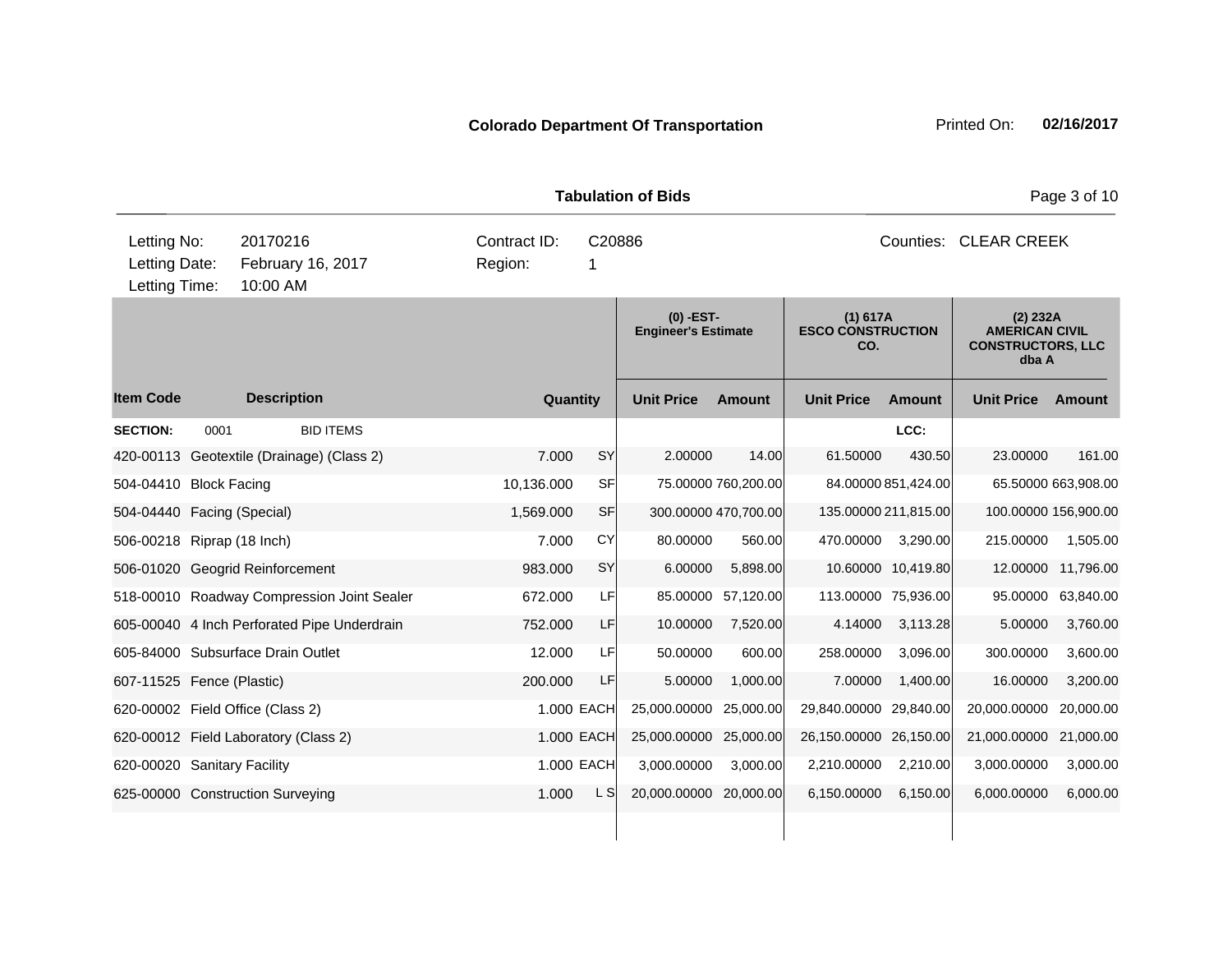|                                                                                            | <b>Tabulation of Bids</b> |                                             |                         |             |                                           |                     |                                             |                     |                                                                        | Page 3 of 10        |  |  |
|--------------------------------------------------------------------------------------------|---------------------------|---------------------------------------------|-------------------------|-------------|-------------------------------------------|---------------------|---------------------------------------------|---------------------|------------------------------------------------------------------------|---------------------|--|--|
| Letting No:<br>20170216<br>February 16, 2017<br>Letting Date:<br>Letting Time:<br>10:00 AM |                           |                                             | Contract ID:<br>Region: | C20886<br>1 |                                           |                     |                                             |                     | Counties: CLEAR CREEK                                                  |                     |  |  |
|                                                                                            |                           |                                             |                         |             | $(0)$ -EST-<br><b>Engineer's Estimate</b> |                     | (1) 617A<br><b>ESCO CONSTRUCTION</b><br>CO. |                     | (2) 232A<br><b>AMERICAN CIVIL</b><br><b>CONSTRUCTORS, LLC</b><br>dba A |                     |  |  |
| <b>Item Code</b>                                                                           |                           | <b>Description</b>                          | Quantity                |             | <b>Unit Price</b>                         | <b>Amount</b>       | <b>Unit Price</b>                           | <b>Amount</b>       | <b>Unit Price</b>                                                      | Amount              |  |  |
| <b>SECTION:</b>                                                                            | 0001                      | <b>BID ITEMS</b>                            |                         |             |                                           |                     |                                             | LCC:                |                                                                        |                     |  |  |
|                                                                                            |                           | 420-00113 Geotextile (Drainage) (Class 2)   | 7.000                   | SY          | 2.00000                                   | 14.00               | 61.50000                                    | 430.50              | 23.00000                                                               | 161.00              |  |  |
| 504-04410 Block Facing                                                                     |                           |                                             | 10,136.000              | SF          |                                           | 75.00000 760,200.00 |                                             | 84.00000 851,424.00 |                                                                        | 65.50000 663,908.00 |  |  |
| 504-04440 Facing (Special)                                                                 |                           |                                             | 1,569.000               | <b>SF</b>   | 300.00000 470,700.00                      |                     | 135.00000 211,815.00                        |                     | 100.00000 156,900.00                                                   |                     |  |  |
| 506-00218 Riprap (18 Inch)                                                                 |                           |                                             | 7.000                   | CY          | 80.00000                                  | 560.00              | 470.00000                                   | 3,290.00            | 215.00000                                                              | 1,505.00            |  |  |
|                                                                                            |                           | 506-01020 Geogrid Reinforcement             | 983.000                 | <b>SY</b>   | 6.00000                                   | 5,898.00            |                                             | 10.60000 10,419.80  | 12.00000                                                               | 11,796.00           |  |  |
|                                                                                            |                           | 518-00010 Roadway Compression Joint Sealer  | 672.000                 | LF          | 85.00000                                  | 57,120.00           | 113.00000 75,936.00                         |                     | 95.00000                                                               | 63,840.00           |  |  |
|                                                                                            |                           | 605-00040 4 Inch Perforated Pipe Underdrain | 752,000                 | <b>LF</b>   | 10.00000                                  | 7,520.00            | 4.14000                                     | 3,113.28            | 5.00000                                                                | 3,760.00            |  |  |
|                                                                                            |                           | 605-84000 Subsurface Drain Outlet           | 12.000                  | LF          | 50.00000                                  | 600.00              | 258.00000                                   | 3,096.00            | 300.00000                                                              | 3,600.00            |  |  |
| 607-11525 Fence (Plastic)                                                                  |                           |                                             | 200.000                 | LF          | 5.00000                                   | 1,000.00            | 7.00000                                     | 1,400.00            | 16.00000                                                               | 3,200.00            |  |  |
|                                                                                            |                           | 620-00002 Field Office (Class 2)            |                         | 1.000 EACH  | 25,000.00000                              | 25,000.00           | 29,840.00000                                | 29,840.00           | 20,000.00000                                                           | 20.000.00           |  |  |
|                                                                                            |                           | 620-00012 Field Laboratory (Class 2)        |                         | 1.000 EACH  | 25,000.00000                              | 25,000.00           | 26,150.00000                                | 26,150.00           | 21,000.00000                                                           | 21,000.00           |  |  |
| 620-00020 Sanitary Facility                                                                |                           |                                             |                         | 1.000 EACH  | 3,000.00000                               | 3,000.00            | 2,210.00000                                 | 2,210.00            | 3,000.00000                                                            | 3,000.00            |  |  |
|                                                                                            |                           | 625-00000 Construction Surveying            | 1.000                   | L SI        | 20,000.00000 20,000.00                    |                     | 6,150.00000                                 | 6,150.00            | 6,000.00000                                                            | 6,000.00            |  |  |
|                                                                                            |                           |                                             |                         |             |                                           |                     |                                             |                     |                                                                        |                     |  |  |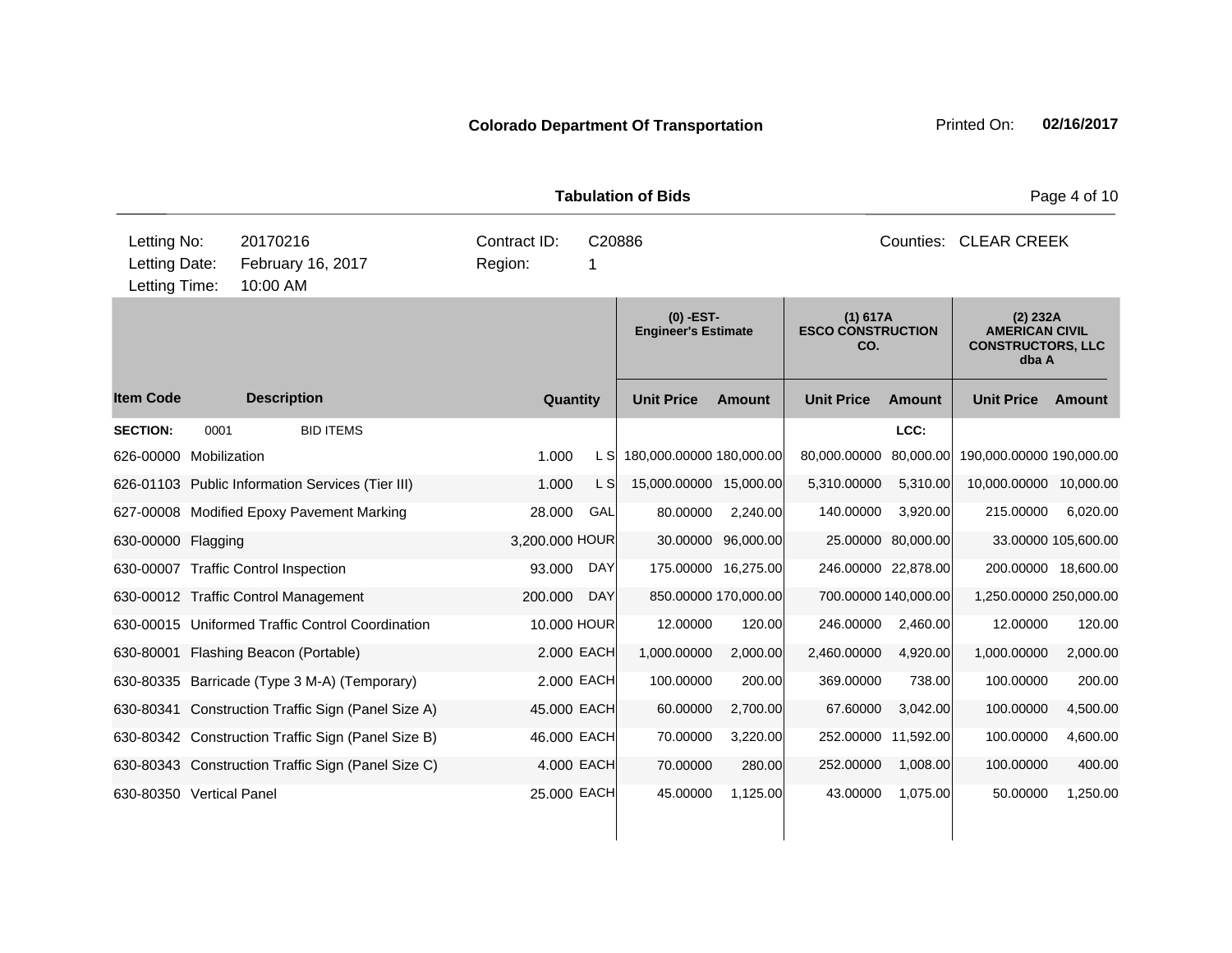|                                                                                            | <b>Tabulation of Bids</b> |                            |                                                    |                |             |                                           |                      |                                             |                      | Page 4 of 10                                                           |                     |
|--------------------------------------------------------------------------------------------|---------------------------|----------------------------|----------------------------------------------------|----------------|-------------|-------------------------------------------|----------------------|---------------------------------------------|----------------------|------------------------------------------------------------------------|---------------------|
| Letting No:<br>20170216<br>Letting Date:<br>February 16, 2017<br>Letting Time:<br>10:00 AM |                           |                            | Contract ID:<br>C20886<br>Region:<br>1             |                |             | Counties: CLEAR CREEK                     |                      |                                             |                      |                                                                        |                     |
|                                                                                            |                           |                            |                                                    |                |             | $(0)$ -EST-<br><b>Engineer's Estimate</b> |                      | (1) 617A<br><b>ESCO CONSTRUCTION</b><br>CO. |                      | (2) 232A<br><b>AMERICAN CIVIL</b><br><b>CONSTRUCTORS, LLC</b><br>dba A |                     |
| <b>Item Code</b>                                                                           |                           | <b>Description</b>         |                                                    |                | Quantity    | <b>Unit Price</b>                         | <b>Amount</b>        | <b>Unit Price</b>                           | <b>Amount</b>        | <b>Unit Price</b>                                                      | Amount              |
| <b>SECTION:</b>                                                                            | 0001                      |                            | <b>BID ITEMS</b>                                   |                |             |                                           |                      |                                             | LCC:                 |                                                                        |                     |
| 626-00000 Mobilization                                                                     |                           |                            |                                                    | 1.000          | L S         | 180,000.00000 180,000.00                  |                      | 80,000.00000                                | 80,000.00            | 190,000.00000 190,000.00                                               |                     |
|                                                                                            |                           |                            | 626-01103 Public Information Services (Tier III)   | 1.000          | L S         | 15,000.00000 15,000.00                    |                      | 5,310.00000                                 | 5,310.00             | 10,000.00000 10,000.00                                                 |                     |
|                                                                                            |                           |                            | 627-00008 Modified Epoxy Pavement Marking          | 28.000         | GAL         | 80.00000                                  | 2,240.00             | 140.00000                                   | 3,920.00             | 215.00000                                                              | 6,020.00            |
| 630-00000 Flagging                                                                         |                           |                            |                                                    | 3,200.000 HOUR |             | 30.00000                                  | 96,000.00            |                                             | 25.00000 80,000.00   |                                                                        | 33.00000 105,600.00 |
| 630-00007 Traffic Control Inspection                                                       |                           |                            |                                                    | 93.000         | <b>DAY</b>  |                                           | 175.00000 16,275.00  |                                             | 246.00000 22,878.00  |                                                                        | 200.00000 18,600.00 |
| 630-00012 Traffic Control Management                                                       |                           |                            |                                                    | 200.000        | <b>DAY</b>  |                                           | 850.00000 170,000.00 |                                             | 700.00000 140,000.00 | 1,250.00000 250,000.00                                                 |                     |
|                                                                                            |                           |                            | 630-00015 Uniformed Traffic Control Coordination   |                | 10.000 HOUR | 12.00000                                  | 120.00               | 246.00000                                   | 2,460.00             | 12.00000                                                               | 120.00              |
| 630-80001                                                                                  |                           | Flashing Beacon (Portable) |                                                    |                | 2.000 EACH  | 1,000.00000                               | 2,000.00             | 2,460.00000                                 | 4,920.00             | 1,000.00000                                                            | 2,000.00            |
|                                                                                            |                           |                            | 630-80335 Barricade (Type 3 M-A) (Temporary)       |                | 2.000 EACH  | 100.00000                                 | 200.00               | 369.00000                                   | 738.00               | 100.00000                                                              | 200.00              |
|                                                                                            |                           |                            | 630-80341 Construction Traffic Sign (Panel Size A) |                | 45.000 EACH | 60.00000                                  | 2,700.00             | 67.60000                                    | 3,042.00             | 100.00000                                                              | 4,500.00            |
|                                                                                            |                           |                            | 630-80342 Construction Traffic Sign (Panel Size B) |                | 46.000 EACH | 70.00000                                  | 3,220.00             | 252.00000                                   | 11,592.00            | 100.00000                                                              | 4,600.00            |
|                                                                                            |                           |                            | 630-80343 Construction Traffic Sign (Panel Size C) |                | 4.000 EACH  | 70.00000                                  | 280.00               | 252.00000                                   | 1,008.00             | 100.00000                                                              | 400.00              |
| 630-80350 Vertical Panel                                                                   |                           |                            |                                                    |                | 25.000 EACH | 45.00000                                  | 1,125.00             | 43.00000                                    | 1,075.00             | 50.00000                                                               | 1,250.00            |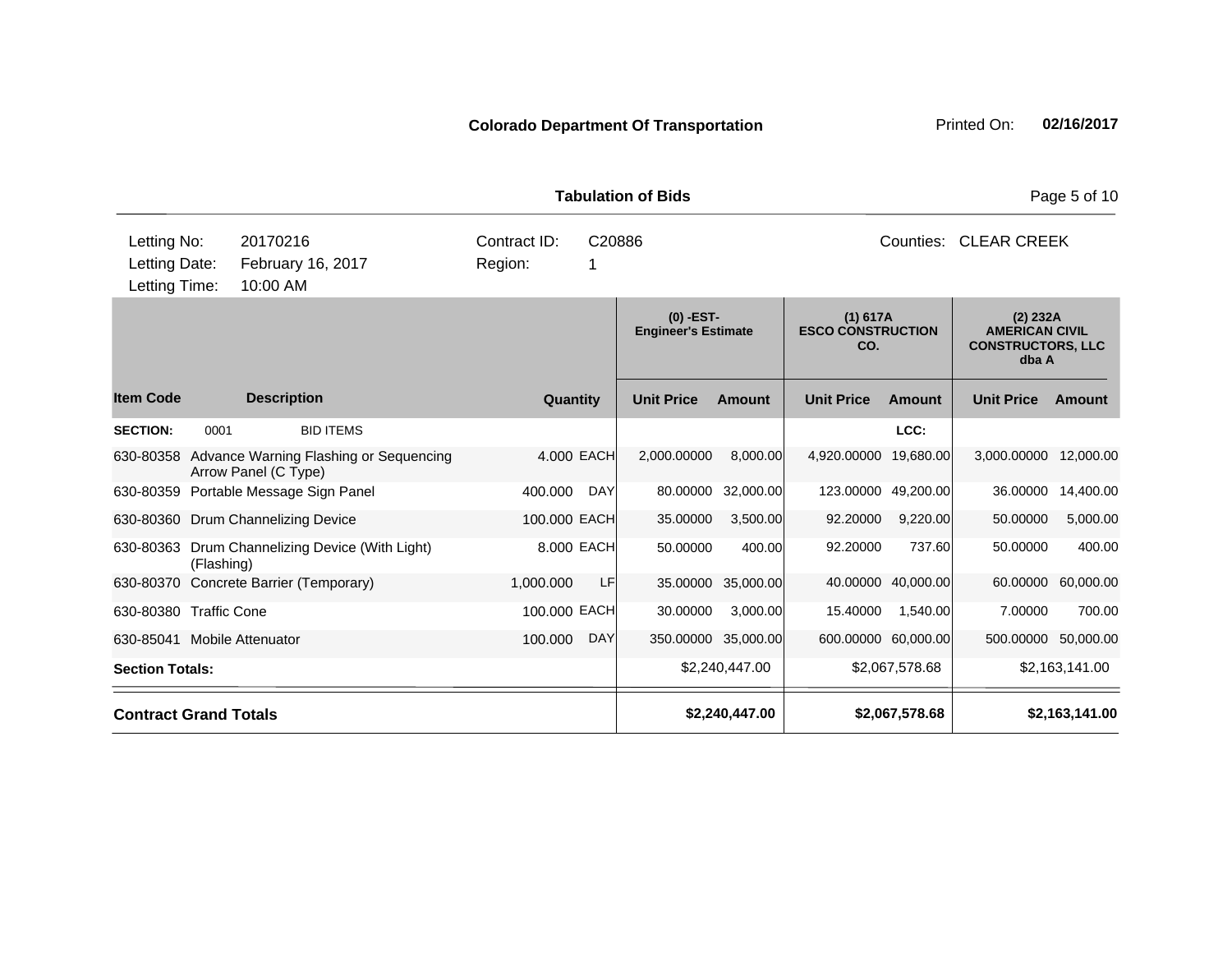|                                               |            |                                                                |                         |             | <b>Tabulation of Bids</b>                 | Page 5 of 10        |                                             |                     |                                                                          |                    |
|-----------------------------------------------|------------|----------------------------------------------------------------|-------------------------|-------------|-------------------------------------------|---------------------|---------------------------------------------|---------------------|--------------------------------------------------------------------------|--------------------|
| Letting No:<br>Letting Date:<br>Letting Time: |            | 20170216<br>February 16, 2017<br>10:00 AM                      | Contract ID:<br>Region: | C20886<br>1 |                                           |                     | Counties: CLEAR CREEK                       |                     |                                                                          |                    |
|                                               |            |                                                                |                         |             | $(0)$ -EST-<br><b>Engineer's Estimate</b> |                     | (1) 617A<br><b>ESCO CONSTRUCTION</b><br>CO. |                     | $(2)$ 232A<br><b>AMERICAN CIVIL</b><br><b>CONSTRUCTORS, LLC</b><br>dba A |                    |
| <b>Item Code</b>                              |            | <b>Description</b>                                             | Quantity                |             | <b>Unit Price</b>                         | <b>Amount</b>       | <b>Unit Price</b>                           | <b>Amount</b>       | <b>Unit Price</b>                                                        | <b>Amount</b>      |
| <b>SECTION:</b>                               | 0001       | <b>BID ITEMS</b>                                               |                         |             |                                           |                     |                                             | LCC:                |                                                                          |                    |
| 630-80358                                     |            | Advance Warning Flashing or Sequencing<br>Arrow Panel (C Type) | 4.000 EACH              |             | 2,000.00000                               | 8,000.00            | 4,920.00000                                 | 19,680.00           | 3,000.00000                                                              | 12,000.00          |
|                                               |            | 630-80359 Portable Message Sign Panel                          | 400.000                 | <b>DAY</b>  | 80.00000                                  | 32,000.00           |                                             | 123.00000 49,200.00 | 36.00000                                                                 | 14,400.00          |
|                                               |            | 630-80360 Drum Channelizing Device                             | 100.000 EACH            |             | 35.00000                                  | 3,500.00            | 92.20000                                    | 9,220.00            | 50.00000                                                                 | 5,000.00           |
|                                               | (Flashing) | 630-80363 Drum Channelizing Device (With Light)                |                         | 8.000 EACH  | 50.00000                                  | 400.00              | 92.20000                                    | 737.60              | 50.00000                                                                 | 400.00             |
|                                               |            | 630-80370 Concrete Barrier (Temporary)                         | 1,000.000               | LF          |                                           | 35.00000 35,000.00  |                                             | 40.00000 40,000.00  |                                                                          | 60.00000 60,000.00 |
| 630-80380 Traffic Cone                        |            |                                                                | 100.000 EACH            |             | 30.00000                                  | 3,000.00            | 15.40000                                    | 1,540.00            | 7.00000                                                                  | 700.00             |
| 630-85041 Mobile Attenuator                   |            |                                                                | 100.000                 | <b>DAY</b>  |                                           | 350.00000 35,000.00 |                                             | 600.00000 60,000.00 | 500.00000                                                                | 50,000.00          |
| <b>Section Totals:</b>                        |            |                                                                |                         |             |                                           | \$2,240,447.00      |                                             | \$2,067,578.68      |                                                                          | \$2,163,141.00     |
| <b>Contract Grand Totals</b>                  |            |                                                                |                         |             |                                           | \$2,240,447.00      |                                             | \$2,067,578.68      |                                                                          | \$2,163,141.00     |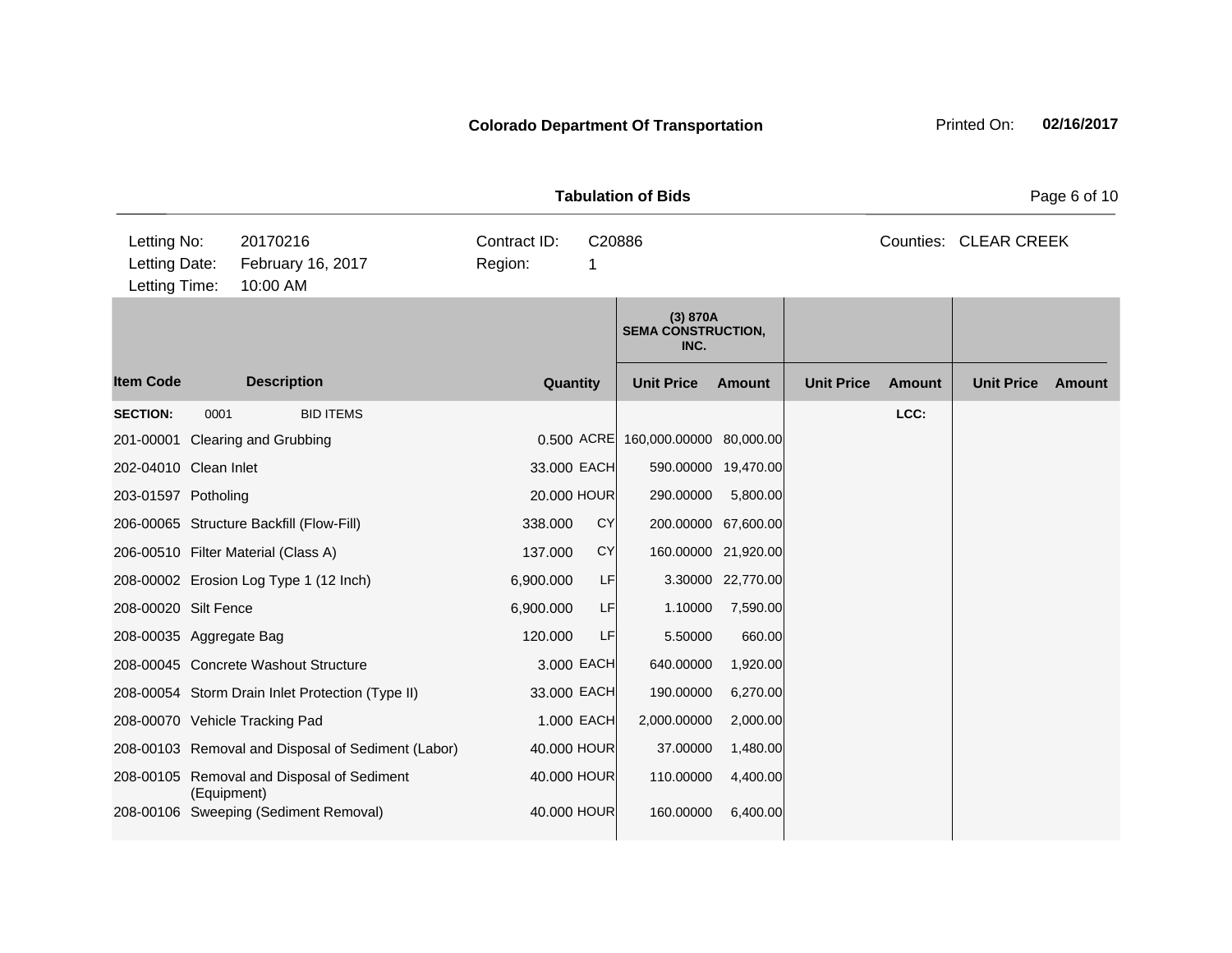|                                               |             |                                                    | <b>Tabulation of Bids</b> | Page 6 of 10 |                                               |                     |                   |               |                       |               |
|-----------------------------------------------|-------------|----------------------------------------------------|---------------------------|--------------|-----------------------------------------------|---------------------|-------------------|---------------|-----------------------|---------------|
| Letting No:<br>Letting Date:<br>Letting Time: |             | 20170216<br>February 16, 2017<br>10:00 AM          | Contract ID:<br>Region:   | C20886<br>1  |                                               |                     |                   |               | Counties: CLEAR CREEK |               |
|                                               |             |                                                    |                           |              | (3) 870A<br><b>SEMA CONSTRUCTION,</b><br>INC. |                     |                   |               |                       |               |
| <b>Item Code</b>                              |             | <b>Description</b>                                 |                           | Quantity     | <b>Unit Price</b>                             | Amount              | <b>Unit Price</b> | <b>Amount</b> | <b>Unit Price</b>     | <b>Amount</b> |
| <b>SECTION:</b>                               | 0001        | <b>BID ITEMS</b>                                   |                           |              |                                               |                     |                   | LCC:          |                       |               |
|                                               |             | 201-00001 Clearing and Grubbing                    |                           |              | 0.500 ACRE 160,000.00000 80,000.00            |                     |                   |               |                       |               |
| 202-04010 Clean Inlet                         |             |                                                    |                           | 33.000 EACH  |                                               | 590.00000 19,470.00 |                   |               |                       |               |
| 203-01597 Potholing                           |             |                                                    |                           | 20.000 HOUR  | 290.00000                                     | 5,800.00            |                   |               |                       |               |
|                                               |             | 206-00065 Structure Backfill (Flow-Fill)           | 338.000                   | <b>CY</b>    |                                               | 200.00000 67,600.00 |                   |               |                       |               |
|                                               |             | 206-00510 Filter Material (Class A)                | 137.000                   | <b>CY</b>    |                                               | 160.00000 21,920.00 |                   |               |                       |               |
|                                               |             | 208-00002 Erosion Log Type 1 (12 Inch)             | 6,900.000                 | LF           |                                               | 3.30000 22,770.00   |                   |               |                       |               |
| 208-00020 Silt Fence                          |             |                                                    | 6,900.000                 | LF           | 1.10000                                       | 7,590.00            |                   |               |                       |               |
| 208-00035 Aggregate Bag                       |             |                                                    | 120.000                   | LF           | 5.50000                                       | 660.00              |                   |               |                       |               |
|                                               |             | 208-00045 Concrete Washout Structure               |                           | 3,000 EACH   | 640.00000                                     | 1,920.00            |                   |               |                       |               |
|                                               |             | 208-00054 Storm Drain Inlet Protection (Type II)   |                           | 33.000 EACH  | 190.00000                                     | 6,270.00            |                   |               |                       |               |
|                                               |             | 208-00070 Vehicle Tracking Pad                     |                           | 1.000 EACH   | 2,000.00000                                   | 2,000.00            |                   |               |                       |               |
|                                               |             | 208-00103 Removal and Disposal of Sediment (Labor) |                           | 40.000 HOUR  | 37.00000                                      | 1,480.00            |                   |               |                       |               |
|                                               | (Equipment) | 208-00105 Removal and Disposal of Sediment         |                           | 40.000 HOUR  | 110.00000                                     | 4,400.00            |                   |               |                       |               |
|                                               |             | 208-00106 Sweeping (Sediment Removal)              |                           | 40.000 HOUR  | 160.00000                                     | 6,400.00            |                   |               |                       |               |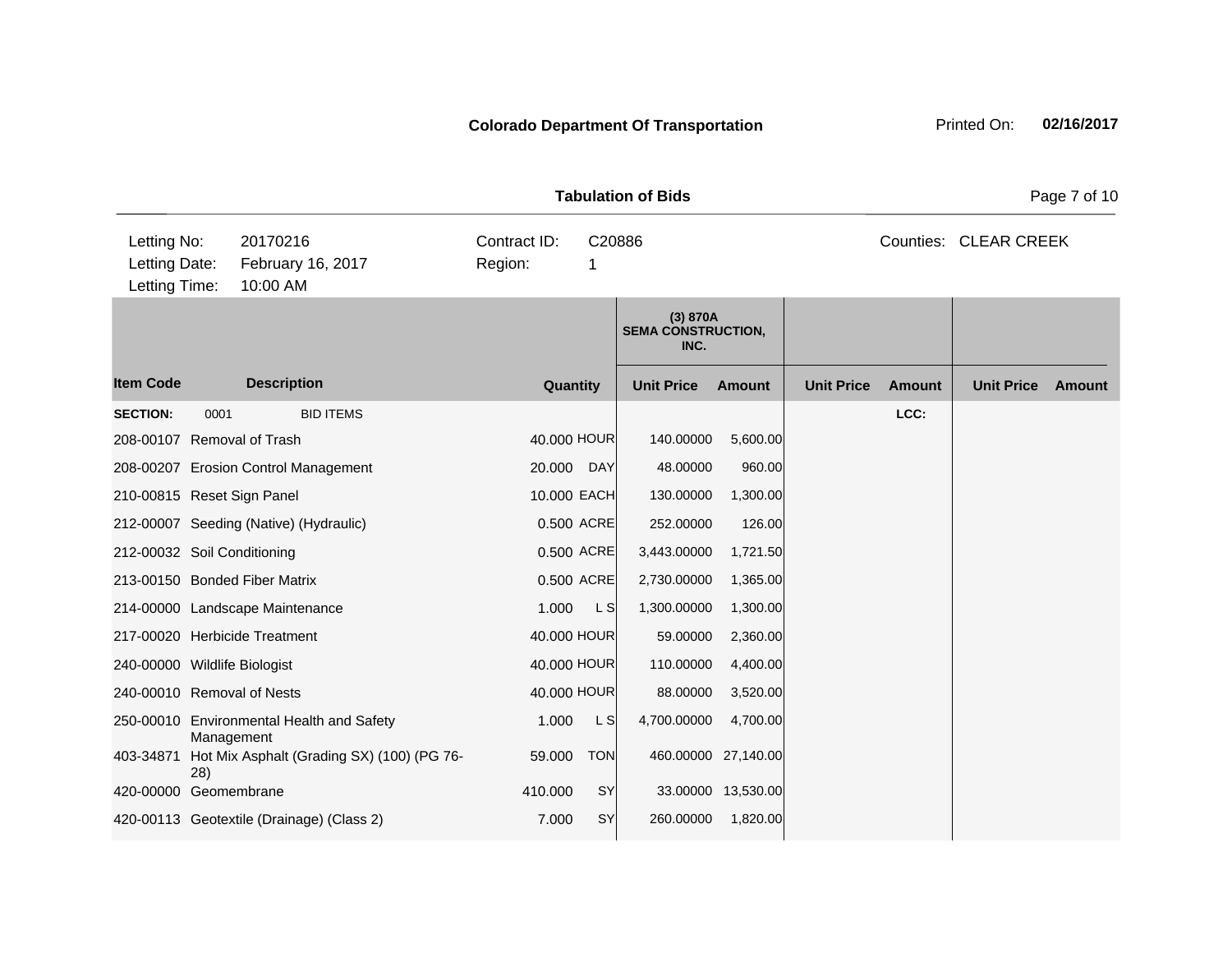|                                               |            |                                            | <b>Tabulation of Bids</b> |            | Page 7 of 10                                  |                     |                   |               |                       |        |
|-----------------------------------------------|------------|--------------------------------------------|---------------------------|------------|-----------------------------------------------|---------------------|-------------------|---------------|-----------------------|--------|
| Letting No:<br>Letting Date:<br>Letting Time: |            | 20170216<br>February 16, 2017<br>10:00 AM  | Contract ID:<br>Region:   | 1          | C20886                                        |                     |                   |               | Counties: CLEAR CREEK |        |
|                                               |            |                                            |                           |            | (3) 870A<br><b>SEMA CONSTRUCTION,</b><br>INC. |                     |                   |               |                       |        |
| <b>Item Code</b>                              |            | <b>Description</b>                         | Quantity                  |            | <b>Unit Price</b>                             | <b>Amount</b>       | <b>Unit Price</b> | <b>Amount</b> | <b>Unit Price</b>     | Amount |
| <b>SECTION:</b>                               | 0001       | <b>BID ITEMS</b>                           |                           |            |                                               |                     |                   | LCC:          |                       |        |
| 208-00107 Removal of Trash                    |            |                                            | 40.000 HOUR               |            | 140.00000                                     | 5,600.00            |                   |               |                       |        |
|                                               |            | 208-00207 Erosion Control Management       | 20.000                    | <b>DAY</b> | 48.00000                                      | 960.00              |                   |               |                       |        |
| 210-00815 Reset Sign Panel                    |            |                                            | 10.000 EACH               |            | 130.00000                                     | 1,300.00            |                   |               |                       |        |
|                                               |            | 212-00007 Seeding (Native) (Hydraulic)     |                           | 0.500 ACRE | 252.00000                                     | 126.00              |                   |               |                       |        |
| 212-00032 Soil Conditioning                   |            |                                            |                           | 0.500 ACRE | 3,443.00000                                   | 1,721.50            |                   |               |                       |        |
|                                               |            | 213-00150 Bonded Fiber Matrix              |                           | 0.500 ACRE | 2,730.00000                                   | 1,365.00            |                   |               |                       |        |
|                                               |            | 214-00000 Landscape Maintenance            | 1.000                     | L S        | 1,300.00000                                   | 1,300.00            |                   |               |                       |        |
|                                               |            | 217-00020 Herbicide Treatment              | 40.000 HOUR               |            | 59.00000                                      | 2,360.00            |                   |               |                       |        |
| 240-00000 Wildlife Biologist                  |            |                                            | 40.000 HOUR               |            | 110.00000                                     | 4,400.00            |                   |               |                       |        |
| 240-00010 Removal of Nests                    |            |                                            | 40.000 HOUR               |            | 88.00000                                      | 3,520.00            |                   |               |                       |        |
|                                               | Management | 250-00010 Environmental Health and Safety  | 1.000                     | L S        | 4,700.00000                                   | 4,700.00            |                   |               |                       |        |
| 403-34871                                     | (28)       | Hot Mix Asphalt (Grading SX) (100) (PG 76- | 59.000                    | <b>TON</b> |                                               | 460.00000 27,140.00 |                   |               |                       |        |
| 420-00000 Geomembrane                         |            |                                            | 410.000                   | SY         |                                               | 33.00000 13,530.00  |                   |               |                       |        |
|                                               |            | 420-00113 Geotextile (Drainage) (Class 2)  | 7.000                     | <b>SY</b>  | 260.00000                                     | 1,820.00            |                   |               |                       |        |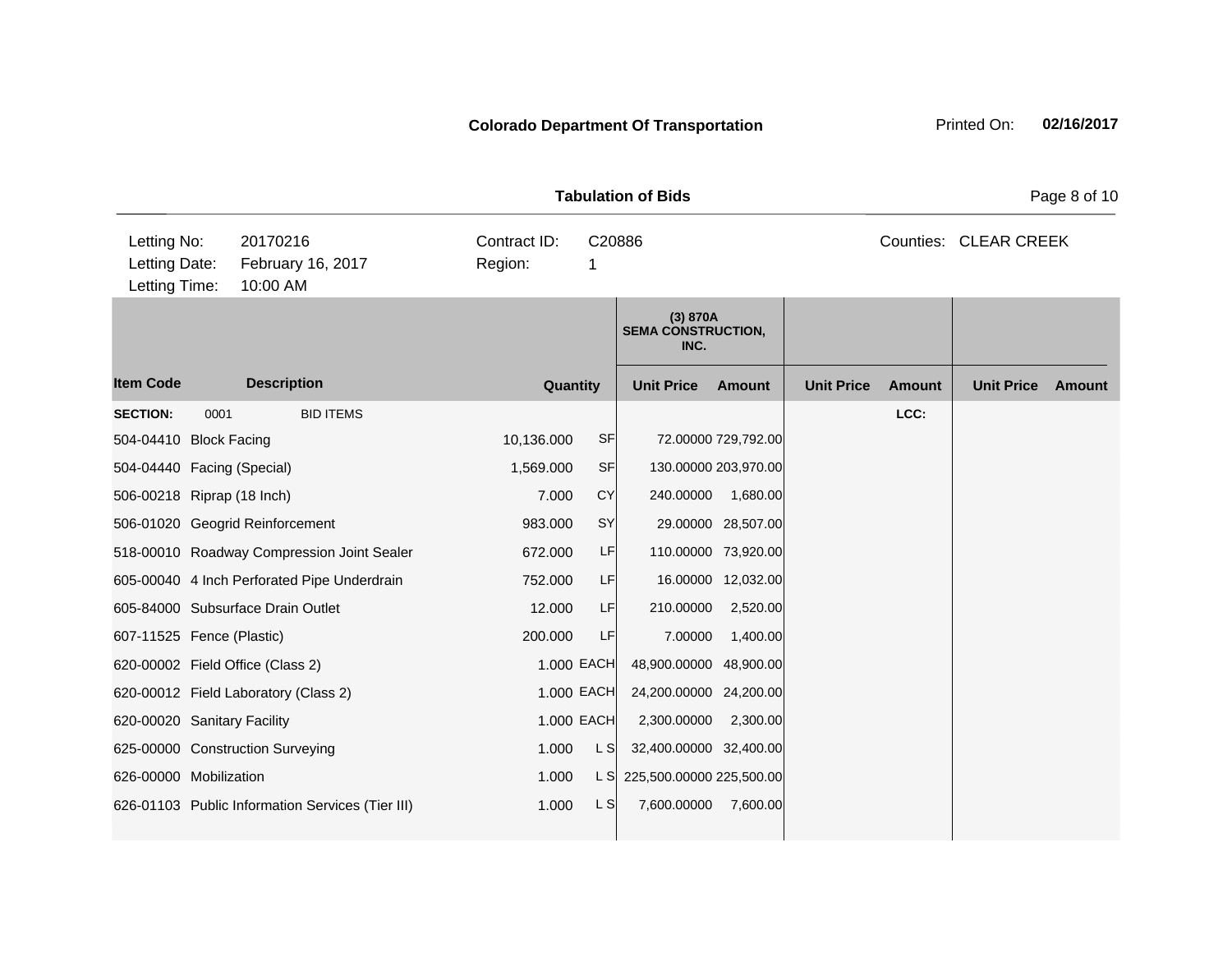|                                                                                            |      | Page 8 of 10                                     |             |            |                                               |                     |                   |                       |                   |        |
|--------------------------------------------------------------------------------------------|------|--------------------------------------------------|-------------|------------|-----------------------------------------------|---------------------|-------------------|-----------------------|-------------------|--------|
| Letting No:<br>20170216<br>Letting Date:<br>February 16, 2017<br>Letting Time:<br>10:00 AM |      | Contract ID:<br>Region:                          | C20886<br>1 |            |                                               |                     |                   | Counties: CLEAR CREEK |                   |        |
|                                                                                            |      |                                                  |             |            | (3) 870A<br><b>SEMA CONSTRUCTION,</b><br>INC. |                     |                   |                       |                   |        |
| <b>Item Code</b>                                                                           |      | <b>Description</b>                               | Quantity    |            | <b>Unit Price</b>                             | Amount              | <b>Unit Price</b> | <b>Amount</b>         | <b>Unit Price</b> | Amount |
| <b>SECTION:</b>                                                                            | 0001 | <b>BID ITEMS</b>                                 |             |            |                                               |                     |                   | LCC:                  |                   |        |
| 504-04410 Block Facing                                                                     |      |                                                  | 10,136.000  | SF         |                                               | 72.00000 729,792.00 |                   |                       |                   |        |
| 504-04440 Facing (Special)                                                                 |      |                                                  | 1,569.000   | <b>SF</b>  | 130.00000 203,970.00                          |                     |                   |                       |                   |        |
| 506-00218 Riprap (18 Inch)                                                                 |      |                                                  | 7.000       | CY         | 240.00000                                     | 1,680.00            |                   |                       |                   |        |
|                                                                                            |      | 506-01020 Geogrid Reinforcement                  | 983,000     | SY         |                                               | 29.00000 28,507.00  |                   |                       |                   |        |
|                                                                                            |      | 518-00010 Roadway Compression Joint Sealer       | 672,000     | LF         | 110.00000 73,920.00                           |                     |                   |                       |                   |        |
|                                                                                            |      | 605-00040 4 Inch Perforated Pipe Underdrain      | 752,000     | <b>LF</b>  |                                               | 16.00000 12,032.00  |                   |                       |                   |        |
|                                                                                            |      | 605-84000 Subsurface Drain Outlet                | 12.000      | LF         | 210.00000                                     | 2,520.00            |                   |                       |                   |        |
| 607-11525 Fence (Plastic)                                                                  |      |                                                  | 200.000     | LF         | 7.00000                                       | 1,400.00            |                   |                       |                   |        |
|                                                                                            |      | 620-00002 Field Office (Class 2)                 |             | 1.000 EACH | 48,900.00000 48,900.00                        |                     |                   |                       |                   |        |
|                                                                                            |      | 620-00012 Field Laboratory (Class 2)             |             | 1.000 EACH | 24,200.00000 24,200.00                        |                     |                   |                       |                   |        |
| 620-00020 Sanitary Facility                                                                |      |                                                  |             | 1.000 EACH | 2,300.00000                                   | 2,300.00            |                   |                       |                   |        |
|                                                                                            |      | 625-00000 Construction Surveying                 | 1.000       | L S        | 32,400.00000 32,400.00                        |                     |                   |                       |                   |        |
| 626-00000 Mobilization                                                                     |      |                                                  | 1.000       | L SI       | 225,500.00000 225,500.00                      |                     |                   |                       |                   |        |
|                                                                                            |      | 626-01103 Public Information Services (Tier III) | 1.000       | L S        | 7,600.00000                                   | 7,600.00            |                   |                       |                   |        |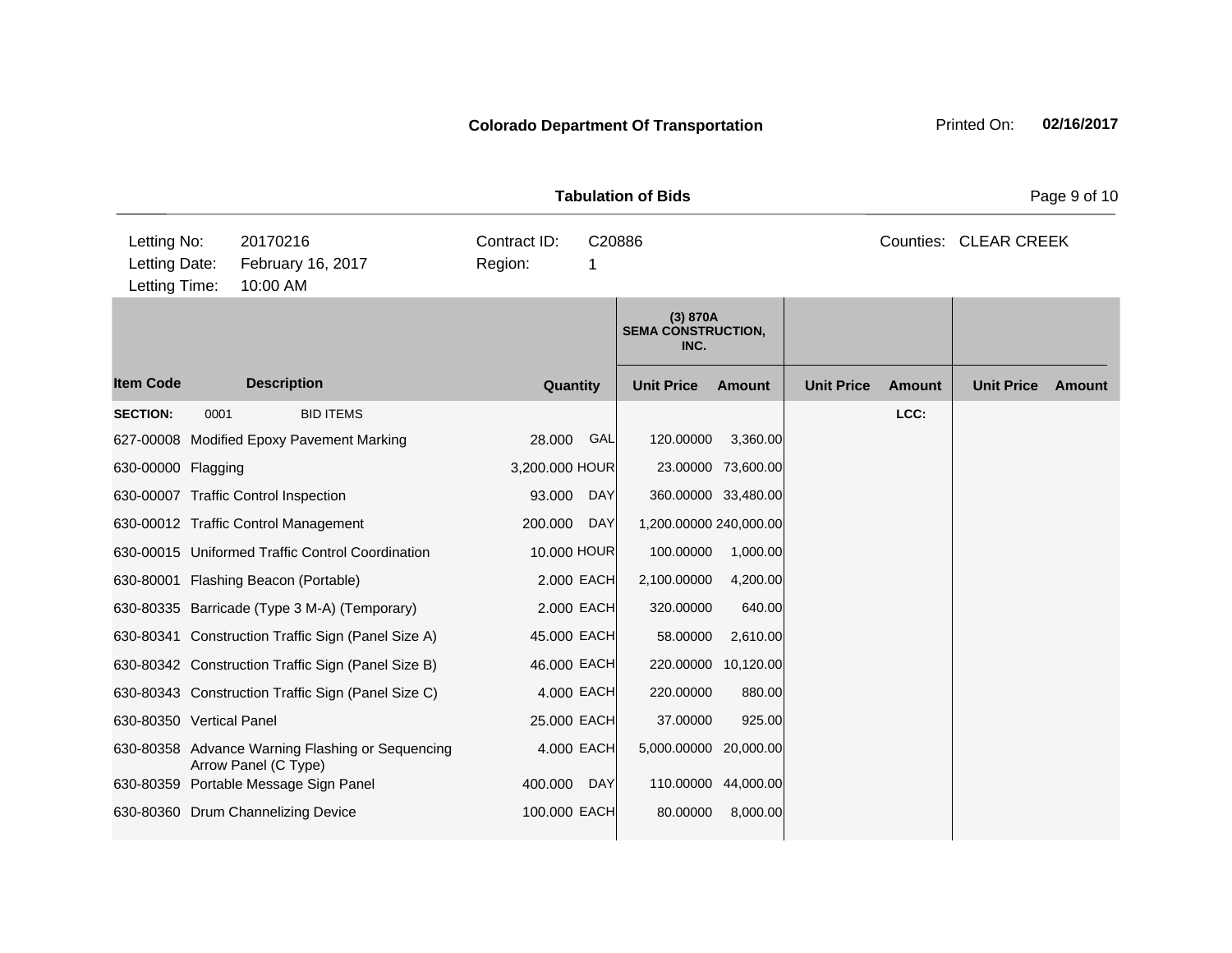|                                               |      |                                                                          |                         |             |                                               |                     | Page 9 of 10      |               |                       |        |
|-----------------------------------------------|------|--------------------------------------------------------------------------|-------------------------|-------------|-----------------------------------------------|---------------------|-------------------|---------------|-----------------------|--------|
| Letting No:<br>Letting Date:<br>Letting Time: |      | 20170216<br>February 16, 2017<br>10:00 AM                                | Contract ID:<br>Region: | C20886<br>1 |                                               |                     |                   |               | Counties: CLEAR CREEK |        |
|                                               |      |                                                                          |                         |             | (3) 870A<br><b>SEMA CONSTRUCTION,</b><br>INC. |                     |                   |               |                       |        |
| <b>Item Code</b>                              |      | <b>Description</b>                                                       | Quantity                |             | <b>Unit Price</b>                             | <b>Amount</b>       | <b>Unit Price</b> | <b>Amount</b> | <b>Unit Price</b>     | Amount |
| <b>SECTION:</b>                               | 0001 | <b>BID ITEMS</b>                                                         |                         |             |                                               |                     |                   | LCC:          |                       |        |
|                                               |      | 627-00008 Modified Epoxy Pavement Marking                                | 28.000                  | GAL         | 120.00000                                     | 3,360.00            |                   |               |                       |        |
| 630-00000 Flagging                            |      |                                                                          | 3,200.000 HOUR          |             |                                               | 23.00000 73,600.00  |                   |               |                       |        |
|                                               |      | 630-00007 Traffic Control Inspection                                     | 93.000                  | <b>DAY</b>  |                                               | 360.00000 33,480.00 |                   |               |                       |        |
|                                               |      | 630-00012 Traffic Control Management                                     | 200.000                 | <b>DAY</b>  | 1,200.00000 240,000.00                        |                     |                   |               |                       |        |
|                                               |      | 630-00015 Uniformed Traffic Control Coordination                         | 10.000 HOUR             |             | 100.00000                                     | 1,000.00            |                   |               |                       |        |
|                                               |      | 630-80001 Flashing Beacon (Portable)                                     |                         | 2.000 EACH  | 2,100.00000                                   | 4,200.00            |                   |               |                       |        |
|                                               |      | 630-80335 Barricade (Type 3 M-A) (Temporary)                             |                         | 2.000 EACH  | 320.00000                                     | 640.00              |                   |               |                       |        |
|                                               |      | 630-80341 Construction Traffic Sign (Panel Size A)                       | 45.000 EACH             |             | 58.00000                                      | 2,610.00            |                   |               |                       |        |
|                                               |      | 630-80342 Construction Traffic Sign (Panel Size B)                       | 46.000 EACH             |             |                                               | 220.00000 10,120.00 |                   |               |                       |        |
|                                               |      | 630-80343 Construction Traffic Sign (Panel Size C)                       | 4.000 EACH              |             | 220.00000                                     | 880.00              |                   |               |                       |        |
| 630-80350 Vertical Panel                      |      |                                                                          | 25.000 EACH             |             | 37.00000                                      | 925.00              |                   |               |                       |        |
|                                               |      | 630-80358 Advance Warning Flashing or Sequencing<br>Arrow Panel (C Type) |                         | 4.000 EACH  | 5,000.00000 20,000.00                         |                     |                   |               |                       |        |
|                                               |      | 630-80359 Portable Message Sign Panel                                    | 400.000                 | <b>DAY</b>  |                                               | 110.00000 44,000.00 |                   |               |                       |        |
|                                               |      | 630-80360 Drum Channelizing Device                                       | 100.000 EACH            |             | 80.00000                                      | 8,000.00            |                   |               |                       |        |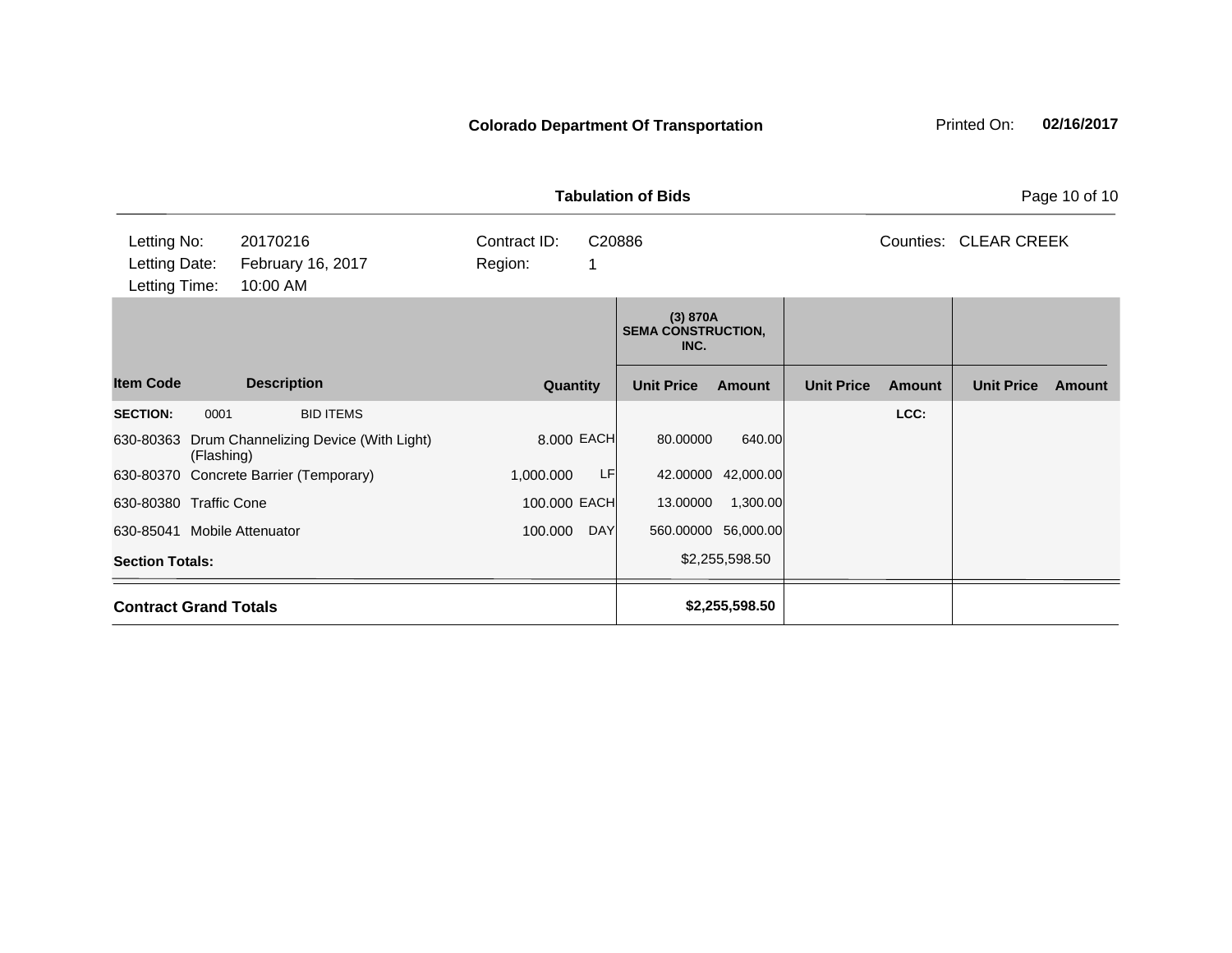| <b>Tabulation of Bids</b><br>Page 10 of 10 |                                           |                              |            |                                               |                     |                   |               |                    |        |  |
|--------------------------------------------|-------------------------------------------|------------------------------|------------|-----------------------------------------------|---------------------|-------------------|---------------|--------------------|--------|--|
| Letting No:<br>Letting Date:               | 20170216<br>February 16, 2017<br>10:00 AM | Contract ID:<br>Region:<br>1 | C20886     |                                               |                     |                   | Counties:     | <b>CLEAR CREEK</b> |        |  |
| Letting Time:                              |                                           |                              |            | (3) 870A<br><b>SEMA CONSTRUCTION,</b><br>INC. |                     |                   |               |                    |        |  |
| <b>Item Code</b>                           | <b>Description</b>                        | Quantity                     |            | <b>Unit Price</b>                             | <b>Amount</b>       | <b>Unit Price</b> | <b>Amount</b> | <b>Unit Price</b>  | Amount |  |
| <b>SECTION:</b><br>0001                    | <b>BID ITEMS</b>                          |                              |            |                                               |                     |                   | LCC:          |                    |        |  |
| 630-80363<br>(Flashing)                    | Drum Channelizing Device (With Light)     | 8.000 EACH                   |            | 80.00000                                      | 640.00              |                   |               |                    |        |  |
|                                            | 630-80370 Concrete Barrier (Temporary)    | 1,000.000                    | <b>LF</b>  |                                               | 42.00000 42,000.00  |                   |               |                    |        |  |
| 630-80380 Traffic Cone                     |                                           | 100.000 EACH                 |            | 13.00000                                      | 1,300.00            |                   |               |                    |        |  |
| 630-85041 Mobile Attenuator                |                                           | 100.000                      | <b>DAY</b> |                                               | 560.00000 56,000.00 |                   |               |                    |        |  |
| <b>Section Totals:</b>                     |                                           |                              |            |                                               | \$2,255,598.50      |                   |               |                    |        |  |
| <b>Contract Grand Totals</b>               |                                           |                              |            |                                               | \$2,255,598.50      |                   |               |                    |        |  |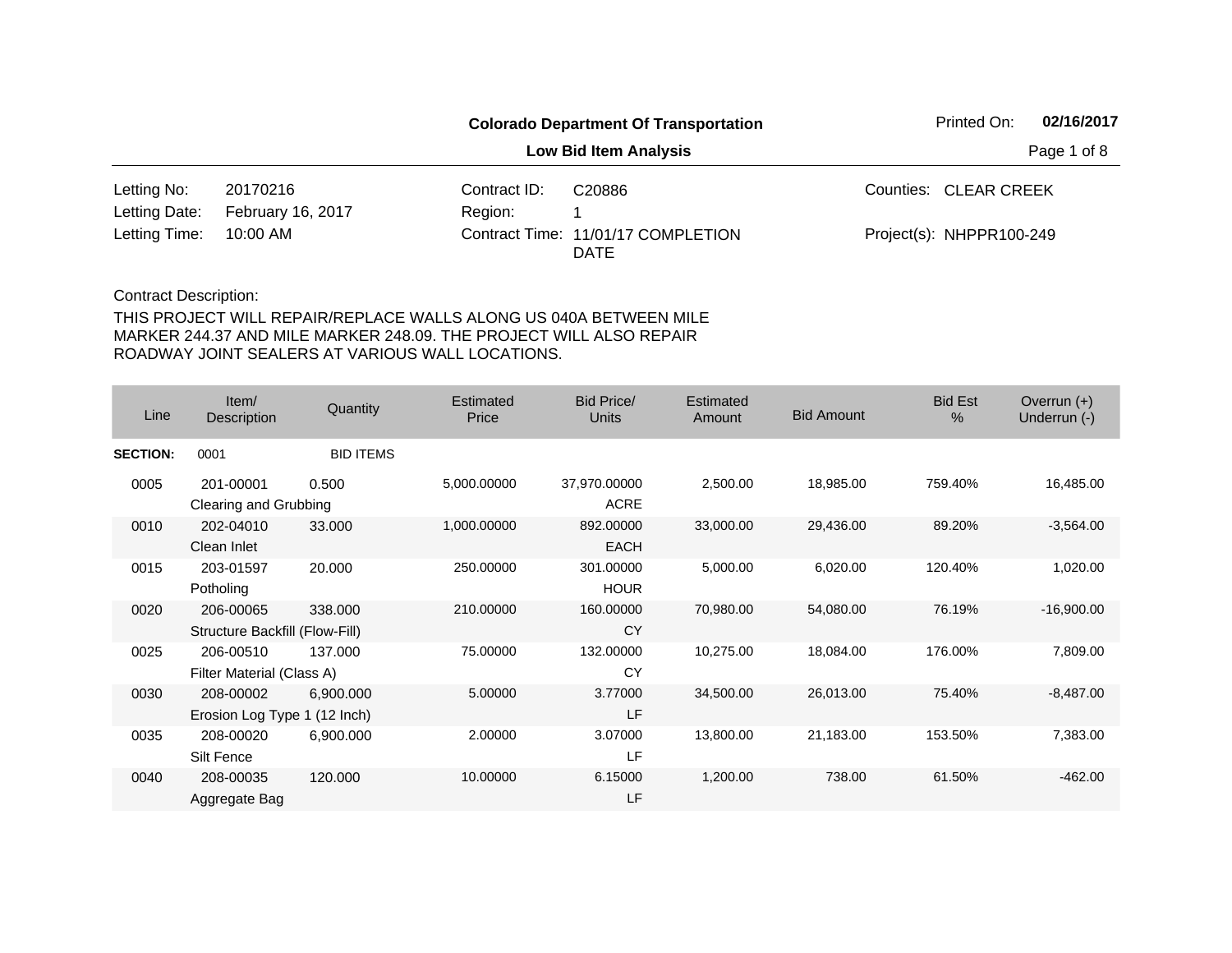|                        |                          |              | <b>Colorado Department Of Transportation</b> |  | Printed On:              |  |  |
|------------------------|--------------------------|--------------|----------------------------------------------|--|--------------------------|--|--|
|                        |                          |              | Page 1 of 8                                  |  |                          |  |  |
| Letting No:            | 20170216                 | Contract ID: | C20886                                       |  | Counties: CLEAR CREEK    |  |  |
| Letting Date:          | <b>February 16, 2017</b> | Region:      |                                              |  |                          |  |  |
| Letting Time: 10:00 AM |                          |              | Contract Time: 11/01/17 COMPLETION<br>DATE   |  | Project(s): NHPPR100-249 |  |  |

| Line            | Item/<br>Description                        | Quantity         | Estimated<br>Price | Bid Price/<br><b>Units</b>  | Estimated<br>Amount | <b>Bid Amount</b> | <b>Bid Est</b><br>% | Overrun $(+)$<br>Underrun (-) |
|-----------------|---------------------------------------------|------------------|--------------------|-----------------------------|---------------------|-------------------|---------------------|-------------------------------|
| <b>SECTION:</b> | 0001                                        | <b>BID ITEMS</b> |                    |                             |                     |                   |                     |                               |
| 0005            | 201-00001<br>Clearing and Grubbing          | 0.500            | 5,000.00000        | 37,970.00000<br><b>ACRE</b> | 2,500.00            | 18,985.00         | 759.40%             | 16,485.00                     |
| 0010            | 202-04010<br>Clean Inlet                    | 33.000           | 1,000.00000        | 892.00000<br><b>EACH</b>    | 33,000.00           | 29,436.00         | 89.20%              | $-3,564.00$                   |
| 0015            | 203-01597<br>Potholing                      | 20.000           | 250.00000          | 301.00000<br><b>HOUR</b>    | 5,000.00            | 6,020.00          | 120.40%             | 1,020.00                      |
| 0020            | 206-00065<br>Structure Backfill (Flow-Fill) | 338.000          | 210.00000          | 160.00000<br><b>CY</b>      | 70,980.00           | 54,080.00         | 76.19%              | $-16,900.00$                  |
| 0025            | 206-00510<br>Filter Material (Class A)      | 137.000          | 75.00000           | 132.00000<br>CY             | 10,275.00           | 18,084.00         | 176.00%             | 7,809.00                      |
| 0030            | 208-00002<br>Erosion Log Type 1 (12 Inch)   | 6,900.000        | 5.00000            | 3.77000<br><b>LF</b>        | 34,500.00           | 26,013.00         | 75.40%              | $-8,487.00$                   |
| 0035            | 208-00020<br>Silt Fence                     | 6,900.000        | 2.00000            | 3.07000<br>LF               | 13,800.00           | 21,183.00         | 153.50%             | 7,383.00                      |
| 0040            | 208-00035<br>Aggregate Bag                  | 120.000          | 10.00000           | 6.15000<br>LF               | 1,200.00            | 738.00            | 61.50%              | $-462.00$                     |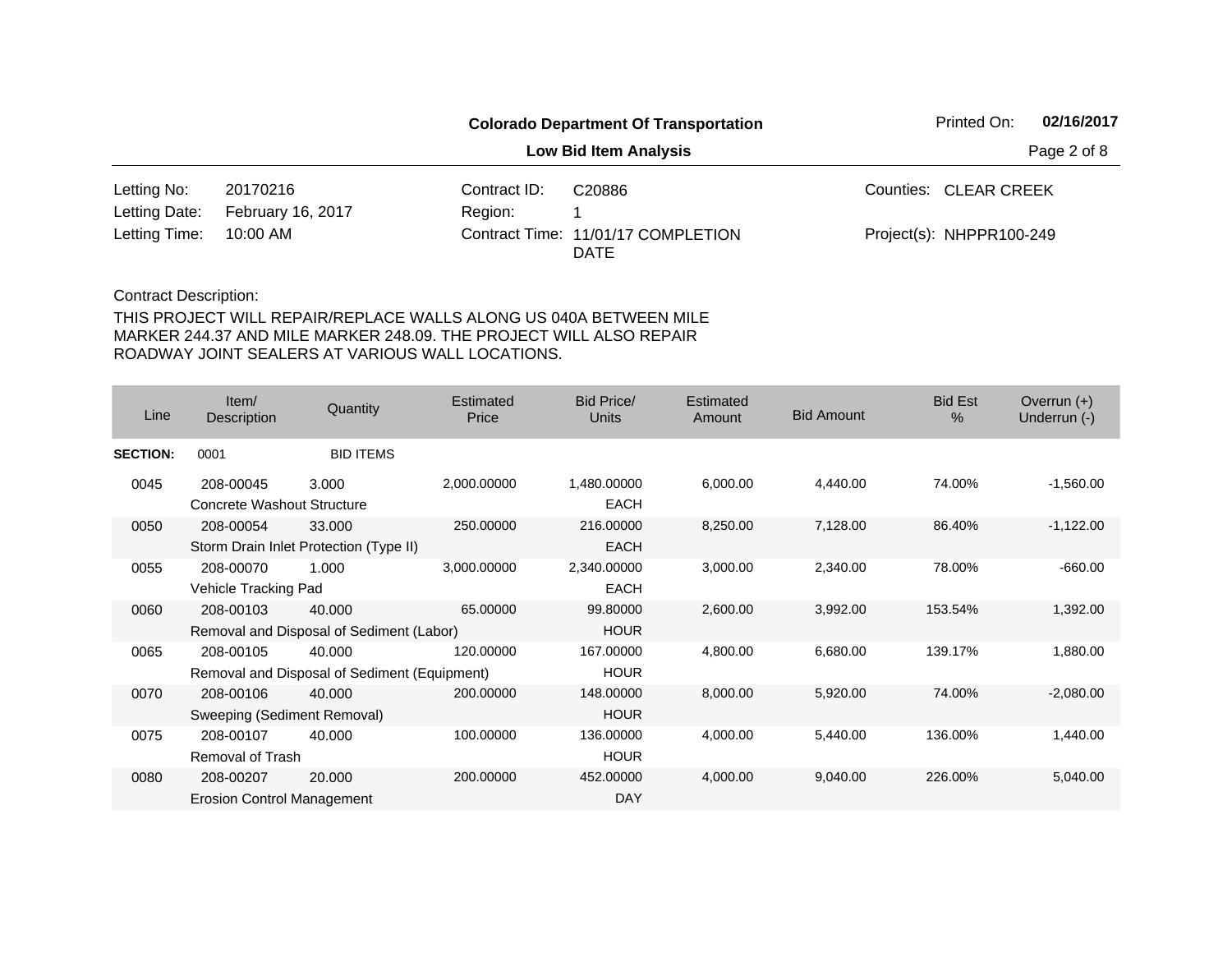|               |                          |              | Printed On:                                | 02/16/2017 |                          |  |
|---------------|--------------------------|--------------|--------------------------------------------|------------|--------------------------|--|
|               |                          |              | Page 2 of 8                                |            |                          |  |
| Letting No:   | 20170216                 | Contract ID: | C20886                                     |            | Counties: CLEAR CREEK    |  |
| Letting Date: | <b>February 16, 2017</b> | Region:      |                                            |            |                          |  |
| Letting Time: | 10:00 AM                 |              | Contract Time: 11/01/17 COMPLETION<br>DATE |            | Project(s): NHPPR100-249 |  |

| Line            | Item/<br>Description                     | Quantity                                               | <b>Estimated</b><br>Price | Bid Price/<br><b>Units</b> | Estimated<br>Amount | <b>Bid Amount</b> | <b>Bid Est</b><br>$\frac{0}{0}$ | Overrun $(+)$<br>Underrun (-) |
|-----------------|------------------------------------------|--------------------------------------------------------|---------------------------|----------------------------|---------------------|-------------------|---------------------------------|-------------------------------|
| <b>SECTION:</b> | 0001                                     | <b>BID ITEMS</b>                                       |                           |                            |                     |                   |                                 |                               |
| 0045            | 208-00045<br>Concrete Washout Structure  | 3.000                                                  | 2,000.00000               | 1,480.00000<br><b>EACH</b> | 6,000.00            | 4,440.00          | 74.00%                          | $-1,560.00$                   |
| 0050            | 208-00054                                | 33.000<br>Storm Drain Inlet Protection (Type II)       | 250.00000                 | 216.00000<br><b>EACH</b>   | 8,250.00            | 7,128.00          | 86.40%                          | $-1,122.00$                   |
| 0055            | 208-00070<br>Vehicle Tracking Pad        | 1.000                                                  | 3,000.00000               | 2,340.00000<br><b>EACH</b> | 3,000.00            | 2,340.00          | 78.00%                          | $-660.00$                     |
| 0060            | 208-00103                                | 40.000<br>Removal and Disposal of Sediment (Labor)     | 65.00000                  | 99.80000<br><b>HOUR</b>    | 2,600.00            | 3,992.00          | 153.54%                         | 1,392.00                      |
| 0065            | 208-00105                                | 40.000<br>Removal and Disposal of Sediment (Equipment) | 120.00000                 | 167.00000<br><b>HOUR</b>   | 4,800.00            | 6,680.00          | 139.17%                         | 1,880.00                      |
| 0070            | 208-00106<br>Sweeping (Sediment Removal) | 40,000                                                 | 200.00000                 | 148.00000<br><b>HOUR</b>   | 8,000.00            | 5,920.00          | 74.00%                          | $-2,080.00$                   |
| 0075            | 208-00107<br>Removal of Trash            | 40.000                                                 | 100.00000                 | 136,00000<br><b>HOUR</b>   | 4,000.00            | 5,440.00          | 136.00%                         | 1,440.00                      |
| 0080            | 208-00207<br>Erosion Control Management  | 20.000                                                 | 200.00000                 | 452.00000<br>DAY           | 4,000.00            | 9,040.00          | 226.00%                         | 5,040.00                      |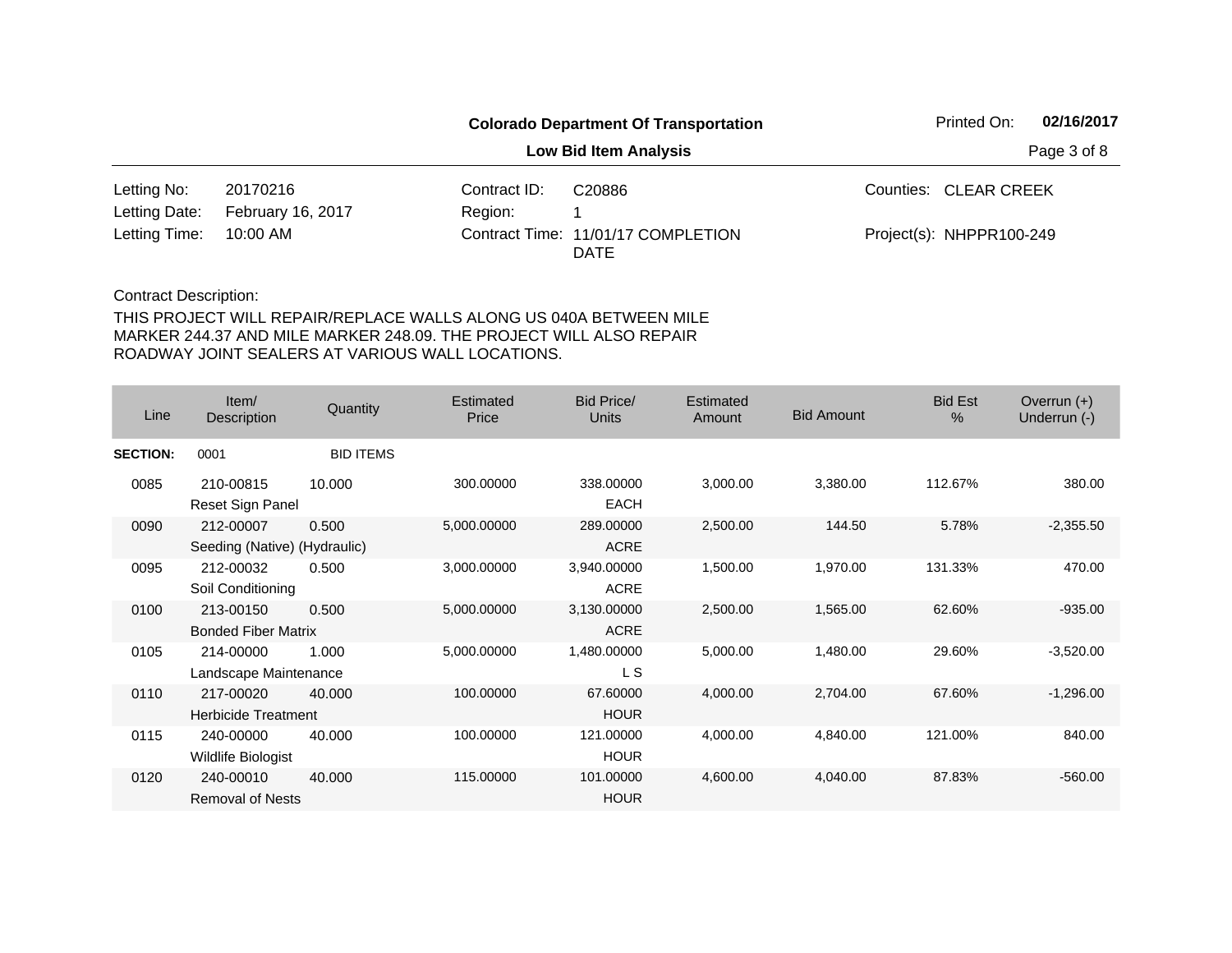|               |                          |              | <b>Colorado Department Of Transportation</b>      | Printed On:              | 02/16/2017  |
|---------------|--------------------------|--------------|---------------------------------------------------|--------------------------|-------------|
|               |                          |              | <b>Low Bid Item Analysis</b>                      |                          | Page 3 of 8 |
| Letting No:   | 20170216                 | Contract ID: | C20886                                            | Counties: CLEAR CREEK    |             |
| Letting Date: | <b>February 16, 2017</b> | Region:      |                                                   |                          |             |
| Letting Time: | 10:00 AM                 |              | Contract Time: 11/01/17 COMPLETION<br><b>DATE</b> | Project(s): NHPPR100-249 |             |

| Line            | Item/<br>Description                      | Quantity         | <b>Estimated</b><br>Price | Bid Price/<br><b>Units</b> | Estimated<br>Amount | <b>Bid Amount</b> | <b>Bid Est</b><br>$\%$ | Overrun $(+)$<br>Underrun (-) |
|-----------------|-------------------------------------------|------------------|---------------------------|----------------------------|---------------------|-------------------|------------------------|-------------------------------|
| <b>SECTION:</b> | 0001                                      | <b>BID ITEMS</b> |                           |                            |                     |                   |                        |                               |
| 0085            | 210-00815<br>Reset Sign Panel             | 10.000           | 300.00000                 | 338.00000<br><b>EACH</b>   | 3,000.00            | 3,380.00          | 112.67%                | 380.00                        |
| 0090            | 212-00007<br>Seeding (Native) (Hydraulic) | 0.500            | 5,000.00000               | 289.00000<br><b>ACRE</b>   | 2,500.00            | 144.50            | 5.78%                  | $-2,355.50$                   |
| 0095            | 212-00032<br>Soil Conditioning            | 0.500            | 3,000.00000               | 3,940.00000<br><b>ACRE</b> | 1,500.00            | 1,970.00          | 131.33%                | 470.00                        |
| 0100            | 213-00150<br><b>Bonded Fiber Matrix</b>   | 0.500            | 5,000.00000               | 3,130.00000<br><b>ACRE</b> | 2,500.00            | 1,565.00          | 62.60%                 | $-935.00$                     |
| 0105            | 214-00000<br>Landscape Maintenance        | 1.000            | 5,000.00000               | 1,480.00000<br>L S         | 5,000.00            | 1,480.00          | 29.60%                 | $-3,520.00$                   |
| 0110            | 217-00020<br><b>Herbicide Treatment</b>   | 40.000           | 100.00000                 | 67.60000<br><b>HOUR</b>    | 4,000.00            | 2,704.00          | 67.60%                 | $-1,296.00$                   |
| 0115            | 240-00000<br>Wildlife Biologist           | 40.000           | 100.00000                 | 121.00000<br><b>HOUR</b>   | 4,000.00            | 4,840.00          | 121.00%                | 840.00                        |
| 0120            | 240-00010<br><b>Removal of Nests</b>      | 40.000           | 115.00000                 | 101.00000<br><b>HOUR</b>   | 4,600.00            | 4,040.00          | 87.83%                 | $-560.00$                     |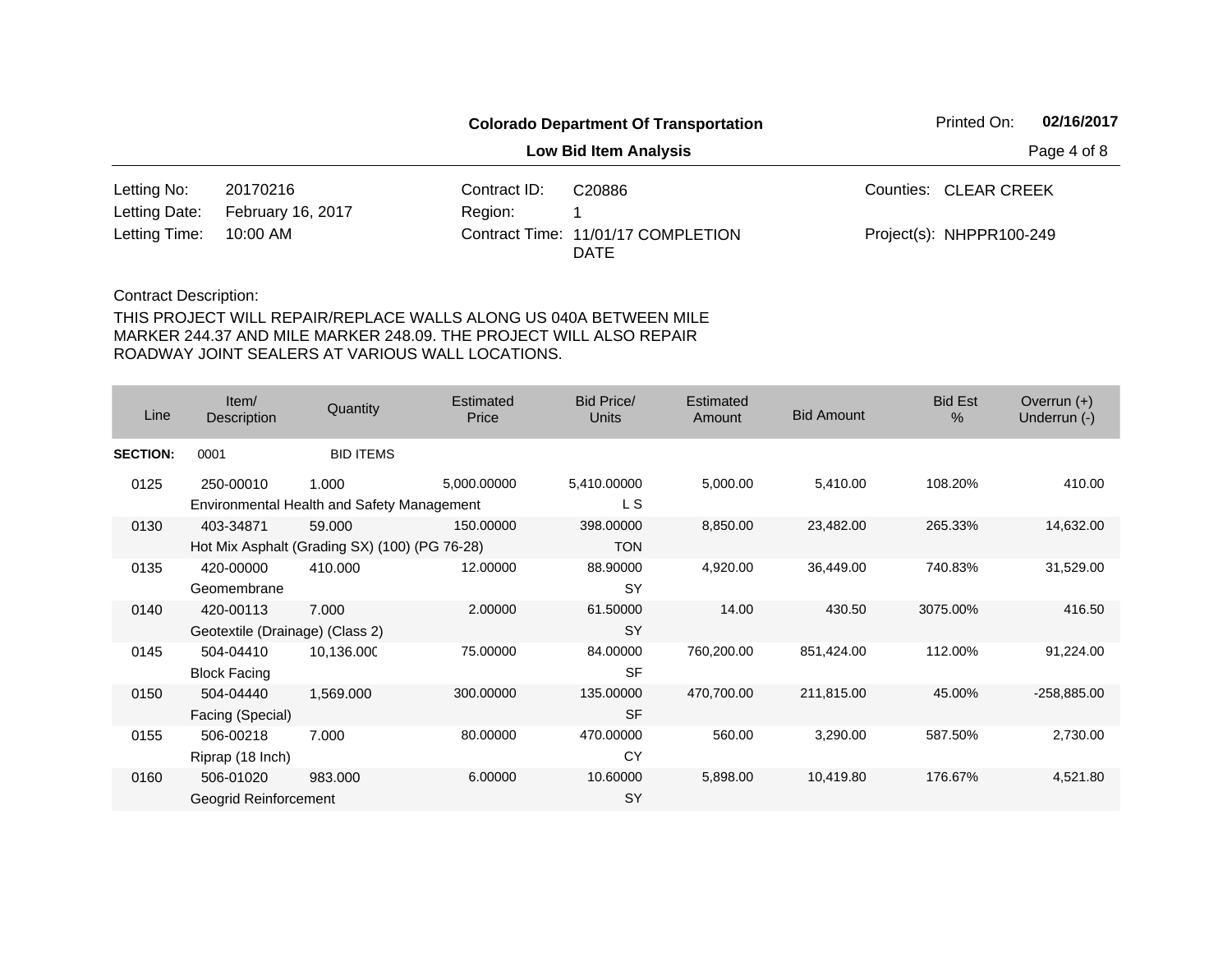|               |                          |              | Printed On:                                       | 02/16/2017 |                          |  |
|---------------|--------------------------|--------------|---------------------------------------------------|------------|--------------------------|--|
|               |                          |              | Page 4 of 8                                       |            |                          |  |
| Letting No:   | 20170216                 | Contract ID: | C <sub>20886</sub>                                |            | Counties: CLEAR CREEK    |  |
| Letting Date: | <b>February 16, 2017</b> | Region:      |                                                   |            |                          |  |
| Letting Time: | 10:00 AM                 |              | Contract Time: 11/01/17 COMPLETION<br><b>DATE</b> |            | Project(s): NHPPR100-249 |  |

| Line            | Item/<br><b>Description</b>                                | Quantity         | Estimated<br>Price | <b>Bid Price/</b><br>Units | Estimated<br>Amount | <b>Bid Amount</b> | <b>Bid Est</b><br>$\frac{0}{0}$ | Overrun $(+)$<br>Underrun (-) |
|-----------------|------------------------------------------------------------|------------------|--------------------|----------------------------|---------------------|-------------------|---------------------------------|-------------------------------|
| <b>SECTION:</b> | 0001                                                       | <b>BID ITEMS</b> |                    |                            |                     |                   |                                 |                               |
| 0125            | 250-00010<br>Environmental Health and Safety Management    | 1.000            | 5,000.00000        | 5,410.00000<br>L S         | 5,000.00            | 5,410.00          | 108.20%                         | 410.00                        |
| 0130            | 403-34871<br>Hot Mix Asphalt (Grading SX) (100) (PG 76-28) | 59.000           | 150.00000          | 398.00000<br><b>TON</b>    | 8,850.00            | 23,482.00         | 265.33%                         | 14,632.00                     |
| 0135            | 420-00000<br>Geomembrane                                   | 410.000          | 12.00000           | 88.90000<br><b>SY</b>      | 4,920.00            | 36,449.00         | 740.83%                         | 31,529.00                     |
| 0140            | 420-00113<br>Geotextile (Drainage) (Class 2)               | 7.000            | 2.00000            | 61.50000<br>SY             | 14.00               | 430.50            | 3075.00%                        | 416.50                        |
| 0145            | 504-04410<br><b>Block Facing</b>                           | 10,136.000       | 75.00000           | 84.00000<br><b>SF</b>      | 760,200.00          | 851,424.00        | 112.00%                         | 91,224.00                     |
| 0150            | 504-04440<br>Facing (Special)                              | 1,569.000        | 300.00000          | 135.00000<br><b>SF</b>     | 470,700.00          | 211,815.00        | 45.00%                          | $-258,885.00$                 |
| 0155            | 506-00218<br>Riprap (18 Inch)                              | 7.000            | 80.00000           | 470.00000<br>CY            | 560.00              | 3,290.00          | 587.50%                         | 2,730.00                      |
| 0160            | 506-01020<br>Geogrid Reinforcement                         | 983,000          | 6.00000            | 10.60000<br>SY             | 5,898.00            | 10,419.80         | 176.67%                         | 4,521.80                      |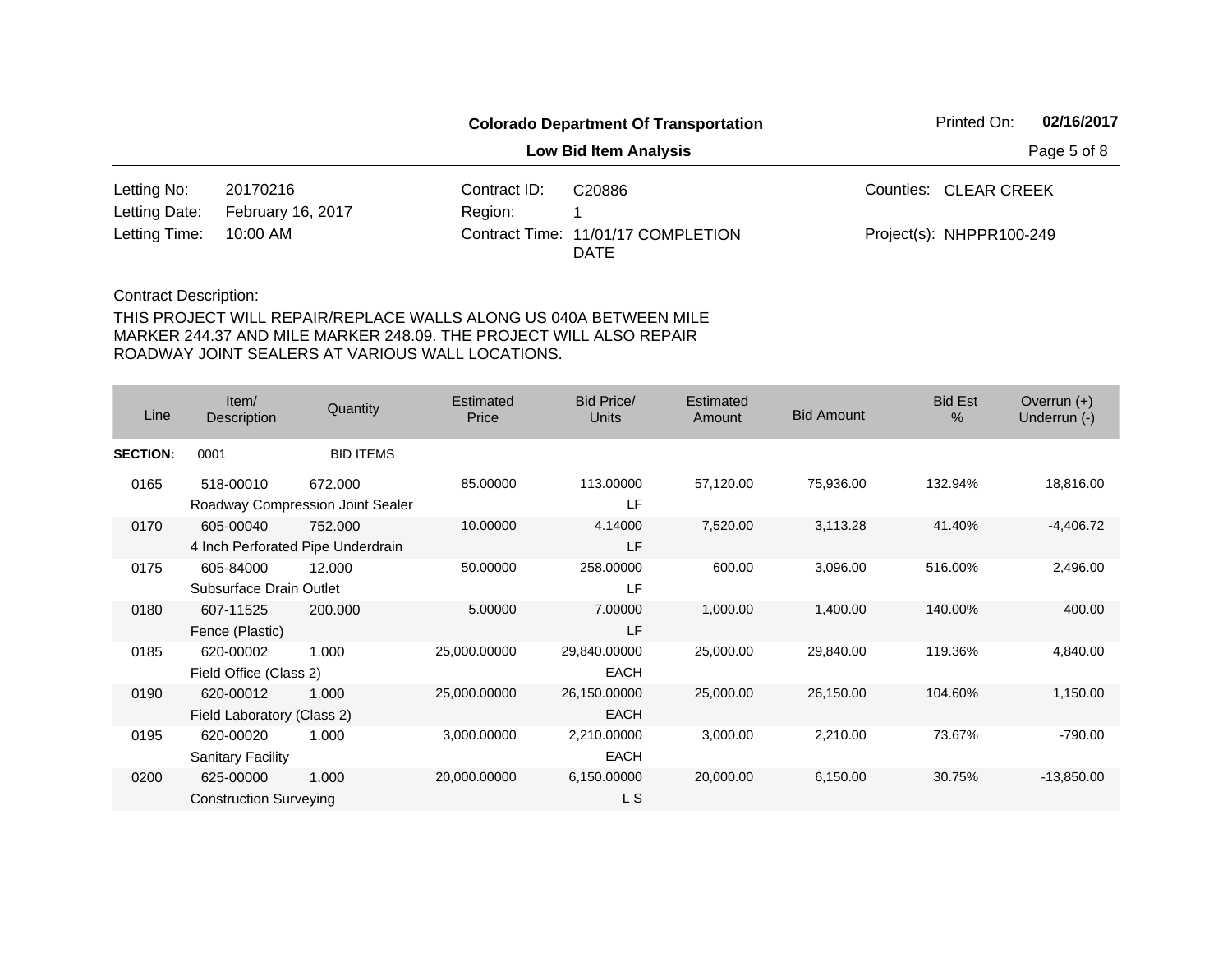|               |                          |              | <b>Colorado Department Of Transportation</b>      |  |                          | 02/16/2017  |
|---------------|--------------------------|--------------|---------------------------------------------------|--|--------------------------|-------------|
|               |                          |              | <b>Low Bid Item Analysis</b>                      |  |                          | Page 5 of 8 |
| Letting No:   | 20170216                 | Contract ID: | C <sub>20886</sub>                                |  | Counties: CLEAR CREEK    |             |
| Letting Date: | <b>February 16, 2017</b> | Region:      |                                                   |  |                          |             |
| Letting Time: | 10:00 AM                 |              | Contract Time: 11/01/17 COMPLETION<br><b>DATE</b> |  | Project(s): NHPPR100-249 |             |

| Line            | Item/<br>Description                       | Quantity                                     | Estimated<br>Price | <b>Bid Price/</b><br><b>Units</b> | Estimated<br>Amount | <b>Bid Amount</b> | <b>Bid Est</b><br>% | Overrun $(+)$<br>Underrun (-) |
|-----------------|--------------------------------------------|----------------------------------------------|--------------------|-----------------------------------|---------------------|-------------------|---------------------|-------------------------------|
| <b>SECTION:</b> | 0001                                       | <b>BID ITEMS</b>                             |                    |                                   |                     |                   |                     |                               |
| 0165            | 518-00010                                  | 672.000<br>Roadway Compression Joint Sealer  | 85.00000           | 113.00000<br>LF                   | 57,120.00           | 75,936.00         | 132.94%             | 18,816.00                     |
| 0170            | 605-00040                                  | 752.000<br>4 Inch Perforated Pipe Underdrain | 10.00000           | 4.14000<br>LF                     | 7,520.00            | 3,113.28          | 41.40%              | $-4,406.72$                   |
| 0175            | 605-84000<br>Subsurface Drain Outlet       | 12.000                                       | 50.00000           | 258.00000<br>LF                   | 600.00              | 3,096.00          | 516.00%             | 2,496.00                      |
| 0180            | 607-11525<br>Fence (Plastic)               | 200.000                                      | 5.00000            | 7.00000<br>LF                     | 1,000.00            | 1,400.00          | 140.00%             | 400.00                        |
| 0185            | 620-00002<br>Field Office (Class 2)        | 1.000                                        | 25,000.00000       | 29,840.00000<br><b>EACH</b>       | 25,000.00           | 29,840.00         | 119.36%             | 4,840.00                      |
| 0190            | 620-00012<br>Field Laboratory (Class 2)    | 1.000                                        | 25,000.00000       | 26,150.00000<br><b>EACH</b>       | 25,000.00           | 26,150.00         | 104.60%             | 1,150.00                      |
| 0195            | 620-00020<br><b>Sanitary Facility</b>      | 1.000                                        | 3,000.00000        | 2,210.00000<br><b>EACH</b>        | 3,000.00            | 2,210.00          | 73.67%              | $-790.00$                     |
| 0200            | 625-00000<br><b>Construction Surveying</b> | 1.000                                        | 20,000.00000       | 6,150.00000<br>L S                | 20,000.00           | 6,150.00          | 30.75%              | $-13,850.00$                  |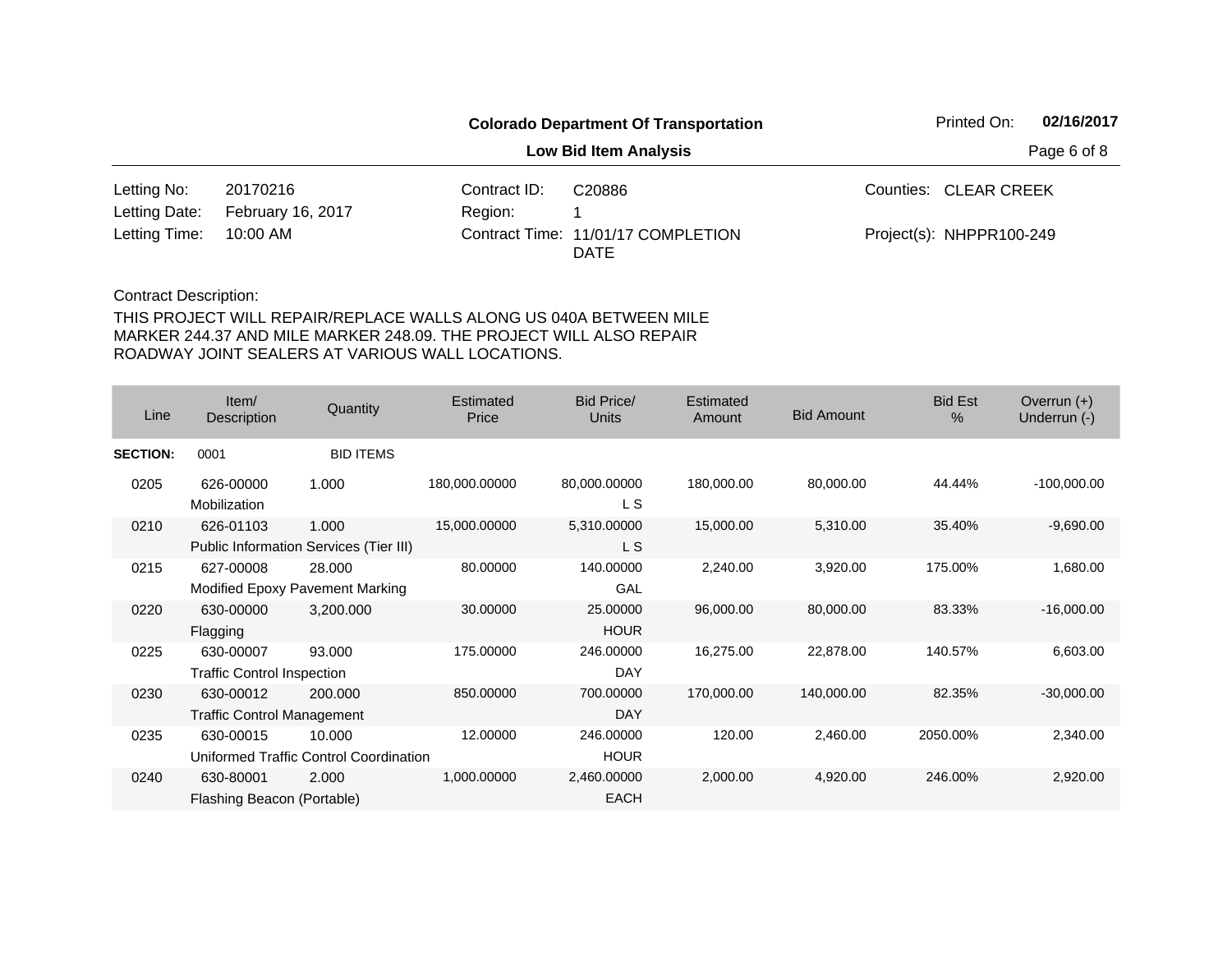| <b>Colorado Department Of Transportation</b> |                          |              |                                                   |  |                          | 02/16/2017  |
|----------------------------------------------|--------------------------|--------------|---------------------------------------------------|--|--------------------------|-------------|
|                                              |                          |              | Low Bid Item Analysis                             |  |                          | Page 6 of 8 |
| Letting No:                                  | 20170216                 | Contract ID: | C <sub>20886</sub>                                |  | Counties: CLEAR CREEK    |             |
| Letting Date:                                | <b>February 16, 2017</b> | Region:      |                                                   |  |                          |             |
| Letting Time:                                | 10:00 AM                 |              | Contract Time: 11/01/17 COMPLETION<br><b>DATE</b> |  | Project(s): NHPPR100-249 |             |

| Line            | Item/<br>Description                           | Quantity                                         | Estimated<br>Price | <b>Bid Price/</b><br><b>Units</b> | Estimated<br>Amount | <b>Bid Amount</b> | <b>Bid Est</b><br>% | Overrun $(+)$<br>Underrun (-) |
|-----------------|------------------------------------------------|--------------------------------------------------|--------------------|-----------------------------------|---------------------|-------------------|---------------------|-------------------------------|
| <b>SECTION:</b> | 0001                                           | <b>BID ITEMS</b>                                 |                    |                                   |                     |                   |                     |                               |
| 0205            | 626-00000<br>Mobilization                      | 1.000                                            | 180,000.00000      | 80,000.00000<br>L S               | 180,000.00          | 80,000.00         | 44.44%              | $-100,000.00$                 |
| 0210            | 626-01103                                      | 1.000<br>Public Information Services (Tier III)  | 15,000.00000       | 5,310.00000<br>L S                | 15,000.00           | 5,310.00          | 35.40%              | $-9,690.00$                   |
| 0215            | 627-00008                                      | 28,000<br>Modified Epoxy Pavement Marking        | 80.00000           | 140.00000<br>GAL                  | 2,240.00            | 3,920.00          | 175.00%             | 1,680.00                      |
| 0220            | 630-00000<br>Flagging                          | 3,200.000                                        | 30.00000           | 25.00000<br><b>HOUR</b>           | 96,000.00           | 80,000.00         | 83.33%              | $-16,000.00$                  |
| 0225            | 630-00007<br><b>Traffic Control Inspection</b> | 93.000                                           | 175.00000          | 246.00000<br><b>DAY</b>           | 16,275.00           | 22,878.00         | 140.57%             | 6,603.00                      |
| 0230            | 630-00012<br><b>Traffic Control Management</b> | 200.000                                          | 850.00000          | 700.00000<br><b>DAY</b>           | 170,000.00          | 140,000.00        | 82.35%              | $-30,000.00$                  |
| 0235            | 630-00015                                      | 10.000<br>Uniformed Traffic Control Coordination | 12.00000           | 246.00000<br><b>HOUR</b>          | 120.00              | 2,460.00          | 2050.00%            | 2,340.00                      |
| 0240            | 630-80001<br>Flashing Beacon (Portable)        | 2.000                                            | 1,000.00000        | 2,460.00000<br><b>EACH</b>        | 2,000.00            | 4,920.00          | 246.00%             | 2,920.00                      |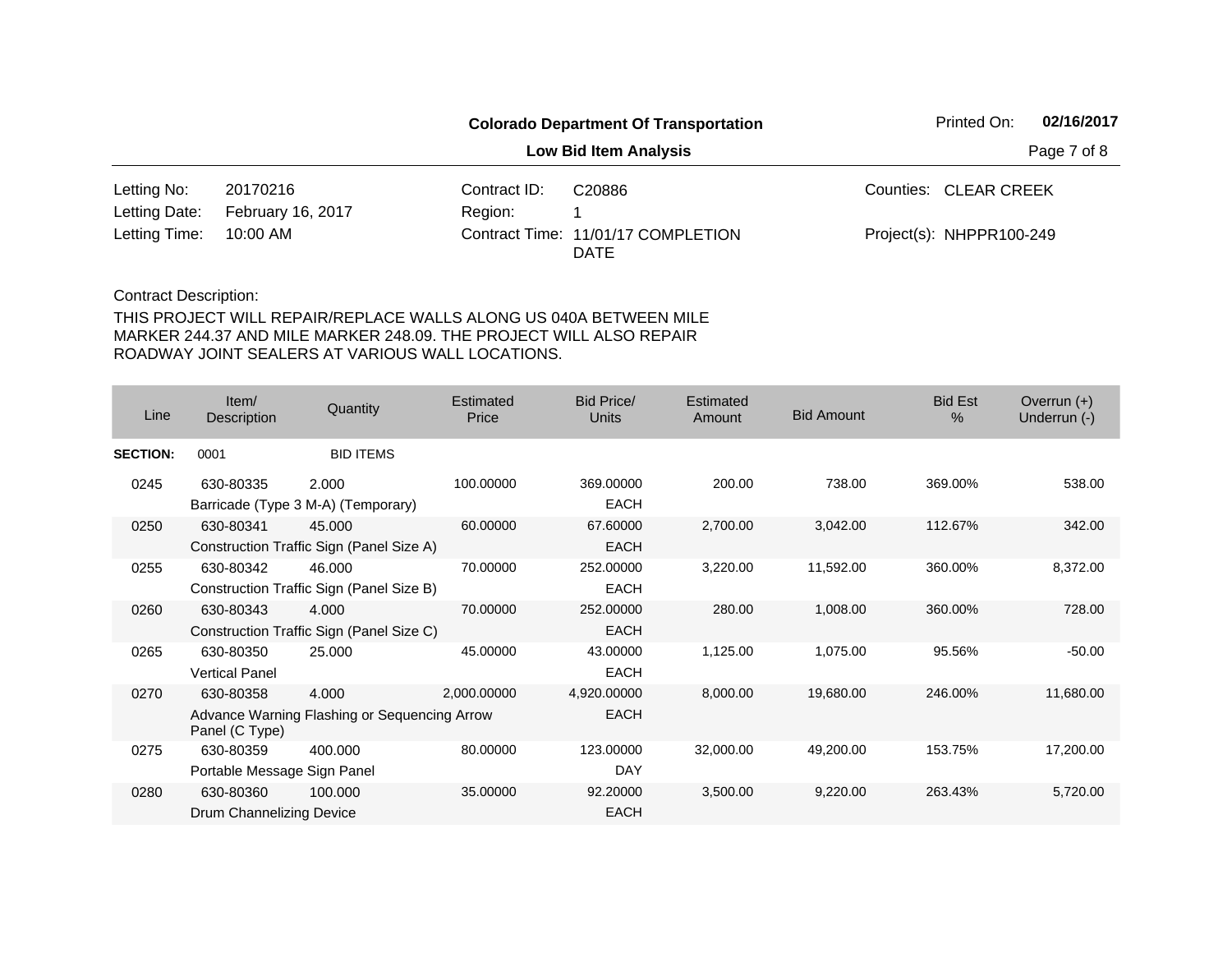|                        |                          | <b>Colorado Department Of Transportation</b> |                                            | Printed On: | 02/16/2017               |  |
|------------------------|--------------------------|----------------------------------------------|--------------------------------------------|-------------|--------------------------|--|
|                        |                          | <b>Low Bid Item Analysis</b>                 | Page 7 of 8                                |             |                          |  |
| Letting No:            | 20170216                 | Contract ID:                                 | C20886                                     |             | Counties: CLEAR CREEK    |  |
| Letting Date:          | <b>February 16, 2017</b> | Region:                                      |                                            |             |                          |  |
| Letting Time: 10:00 AM |                          |                                              | Contract Time: 11/01/17 COMPLETION<br>DATE |             | Project(s): NHPPR100-249 |  |

| Line            | Item/<br>Description                     | Quantity                                              | Estimated<br>Price | Bid Price/<br>Units        | Estimated<br>Amount | <b>Bid Amount</b> | <b>Bid Est</b><br>$\%$ | Overrun $(+)$<br>Underrun (-) |
|-----------------|------------------------------------------|-------------------------------------------------------|--------------------|----------------------------|---------------------|-------------------|------------------------|-------------------------------|
| <b>SECTION:</b> | 0001                                     | <b>BID ITEMS</b>                                      |                    |                            |                     |                   |                        |                               |
| 0245            | 630-80335                                | 2.000<br>Barricade (Type 3 M-A) (Temporary)           | 100.00000          | 369.00000<br><b>EACH</b>   | 200.00              | 738.00            | 369.00%                | 538.00                        |
| 0250            | 630-80341                                | 45.000<br>Construction Traffic Sign (Panel Size A)    | 60.00000           | 67.60000<br><b>EACH</b>    | 2,700.00            | 3,042.00          | 112.67%                | 342.00                        |
| 0255            | 630-80342                                | 46.000<br>Construction Traffic Sign (Panel Size B)    | 70.00000           | 252.00000<br><b>EACH</b>   | 3,220.00            | 11,592.00         | 360.00%                | 8,372.00                      |
| 0260            | 630-80343                                | 4.000<br>Construction Traffic Sign (Panel Size C)     | 70.00000           | 252.00000<br><b>EACH</b>   | 280.00              | 1,008.00          | 360.00%                | 728.00                        |
| 0265            | 630-80350<br><b>Vertical Panel</b>       | 25.000                                                | 45.00000           | 43.00000<br><b>EACH</b>    | 1,125.00            | 1,075.00          | 95.56%                 | $-50.00$                      |
| 0270            | 630-80358<br>Panel (C Type)              | 4.000<br>Advance Warning Flashing or Sequencing Arrow | 2,000.00000        | 4,920.00000<br><b>EACH</b> | 8,000.00            | 19,680.00         | 246.00%                | 11,680.00                     |
| 0275            | 630-80359<br>Portable Message Sign Panel | 400.000                                               | 80.00000           | 123.00000<br>DAY           | 32,000.00           | 49,200.00         | 153.75%                | 17,200.00                     |
| 0280            | 630-80360<br>Drum Channelizing Device    | 100.000                                               | 35.00000           | 92.20000<br><b>EACH</b>    | 3,500.00            | 9,220.00          | 263.43%                | 5,720.00                      |